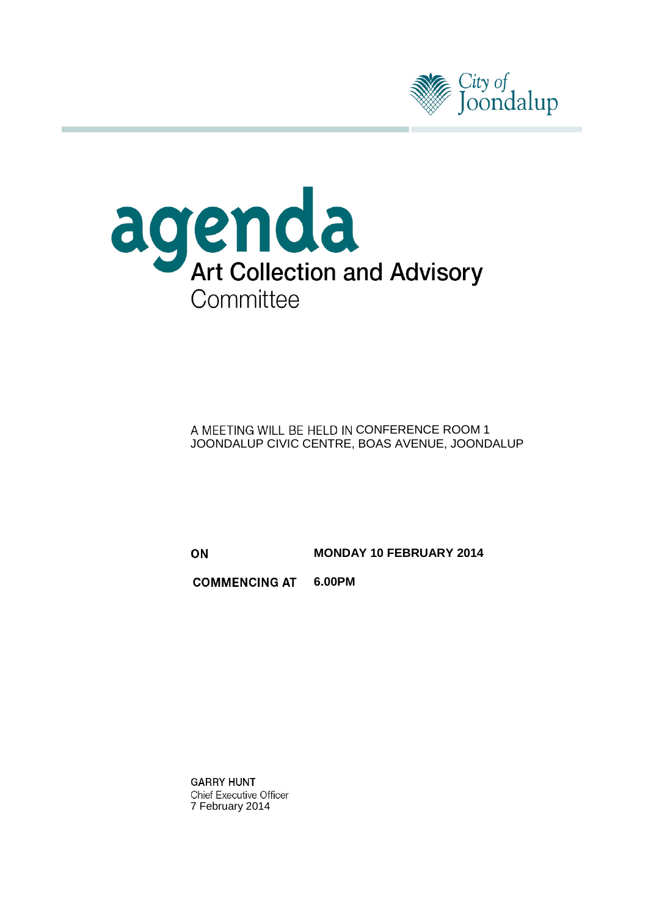



A MEETING WILL BE HELD IN CONFERENCE ROOM 1 JOONDALUP CIVIC CENTRE, BOAS AVENUE, JOONDALUP

ON

**MONDAY 10 FEBRUARY 2014**

**6.00PM COMMENCING AT** 

**GARRY HUNT Chief Executive Officer** 7 February 2014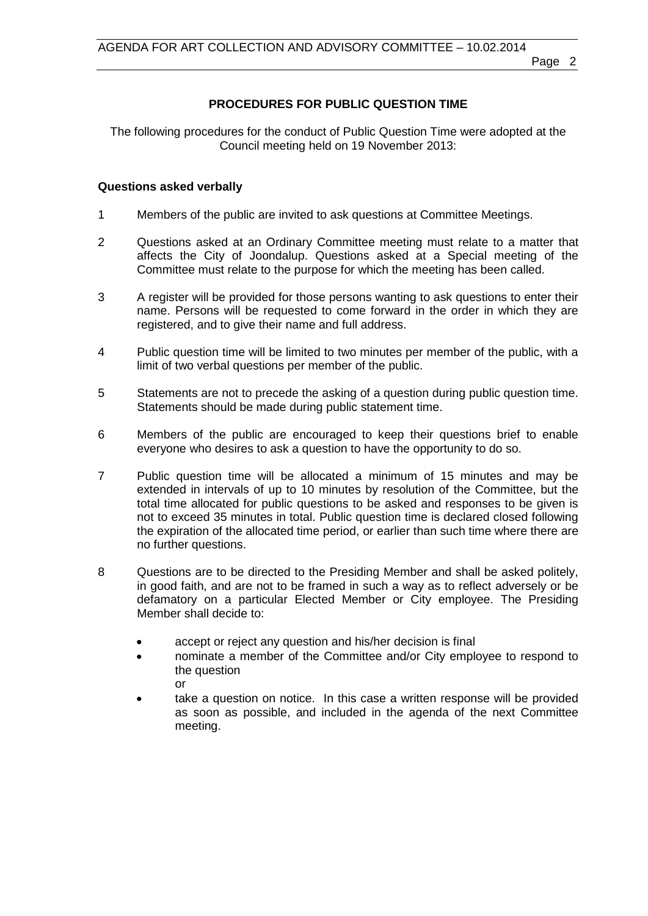## **PROCEDURES FOR PUBLIC QUESTION TIME**

The following procedures for the conduct of Public Question Time were adopted at the Council meeting held on 19 November 2013:

### **Questions asked verbally**

- 1 Members of the public are invited to ask questions at Committee Meetings.
- 2 Questions asked at an Ordinary Committee meeting must relate to a matter that affects the City of Joondalup. Questions asked at a Special meeting of the Committee must relate to the purpose for which the meeting has been called.
- 3 A register will be provided for those persons wanting to ask questions to enter their name. Persons will be requested to come forward in the order in which they are registered, and to give their name and full address.
- 4 Public question time will be limited to two minutes per member of the public, with a limit of two verbal questions per member of the public.
- 5 Statements are not to precede the asking of a question during public question time. Statements should be made during public statement time.
- 6 Members of the public are encouraged to keep their questions brief to enable everyone who desires to ask a question to have the opportunity to do so.
- 7 Public question time will be allocated a minimum of 15 minutes and may be extended in intervals of up to 10 minutes by resolution of the Committee, but the total time allocated for public questions to be asked and responses to be given is not to exceed 35 minutes in total. Public question time is declared closed following the expiration of the allocated time period, or earlier than such time where there are no further questions.
- 8 Questions are to be directed to the Presiding Member and shall be asked politely, in good faith, and are not to be framed in such a way as to reflect adversely or be defamatory on a particular Elected Member or City employee. The Presiding Member shall decide to:
	- accept or reject any question and his/her decision is final
	- nominate a member of the Committee and/or City employee to respond to the question or
	- take a question on notice. In this case a written response will be provided as soon as possible, and included in the agenda of the next Committee meeting.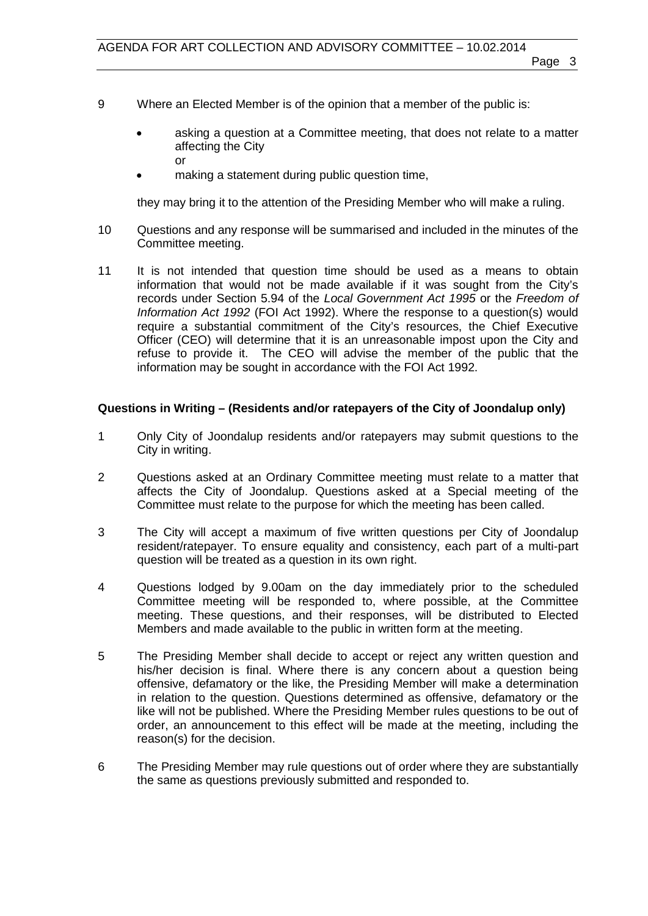- 9 Where an Elected Member is of the opinion that a member of the public is:
	- asking a question at a Committee meeting, that does not relate to a matter affecting the City or
	- making a statement during public question time,

they may bring it to the attention of the Presiding Member who will make a ruling.

- 10 Questions and any response will be summarised and included in the minutes of the Committee meeting.
- 11 It is not intended that question time should be used as a means to obtain information that would not be made available if it was sought from the City's records under Section 5.94 of the *Local Government Act 1995* or the *Freedom of Information Act 1992* (FOI Act 1992). Where the response to a question(s) would require a substantial commitment of the City's resources, the Chief Executive Officer (CEO) will determine that it is an unreasonable impost upon the City and refuse to provide it. The CEO will advise the member of the public that the information may be sought in accordance with the FOI Act 1992.

### **Questions in Writing – (Residents and/or ratepayers of the City of Joondalup only)**

- 1 Only City of Joondalup residents and/or ratepayers may submit questions to the City in writing.
- 2 Questions asked at an Ordinary Committee meeting must relate to a matter that affects the City of Joondalup. Questions asked at a Special meeting of the Committee must relate to the purpose for which the meeting has been called.
- 3 The City will accept a maximum of five written questions per City of Joondalup resident/ratepayer. To ensure equality and consistency, each part of a multi-part question will be treated as a question in its own right.
- 4 Questions lodged by 9.00am on the day immediately prior to the scheduled Committee meeting will be responded to, where possible, at the Committee meeting. These questions, and their responses, will be distributed to Elected Members and made available to the public in written form at the meeting.
- 5 The Presiding Member shall decide to accept or reject any written question and his/her decision is final. Where there is any concern about a question being offensive, defamatory or the like, the Presiding Member will make a determination in relation to the question. Questions determined as offensive, defamatory or the like will not be published. Where the Presiding Member rules questions to be out of order, an announcement to this effect will be made at the meeting, including the reason(s) for the decision.
- 6 The Presiding Member may rule questions out of order where they are substantially the same as questions previously submitted and responded to.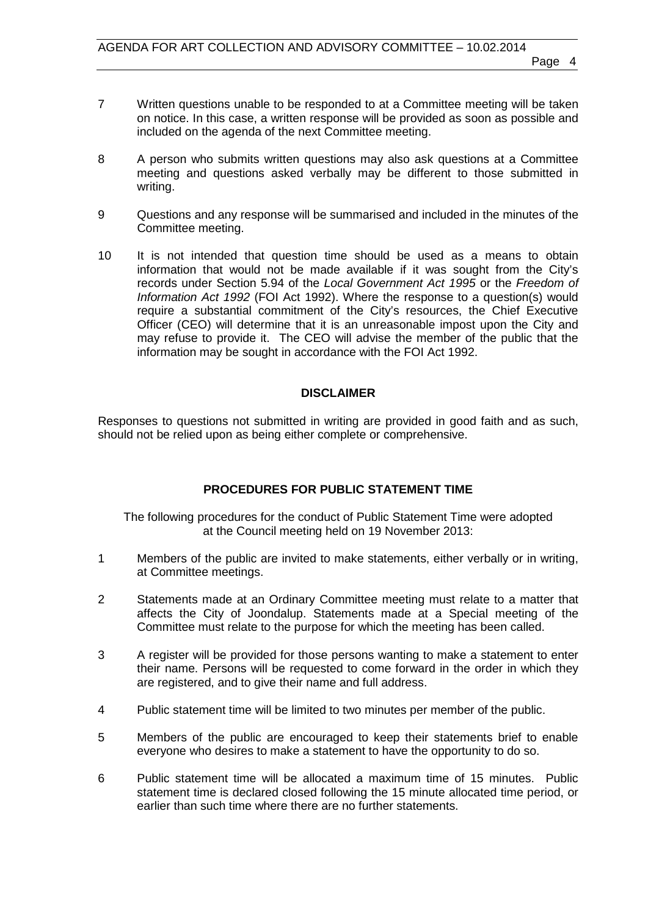- 7 Written questions unable to be responded to at a Committee meeting will be taken on notice. In this case, a written response will be provided as soon as possible and included on the agenda of the next Committee meeting.
- 8 A person who submits written questions may also ask questions at a Committee meeting and questions asked verbally may be different to those submitted in writing.
- 9 Questions and any response will be summarised and included in the minutes of the Committee meeting.
- 10 It is not intended that question time should be used as a means to obtain information that would not be made available if it was sought from the City's records under Section 5.94 of the *Local Government Act 1995* or the *Freedom of Information Act 1992* (FOI Act 1992). Where the response to a question(s) would require a substantial commitment of the City's resources, the Chief Executive Officer (CEO) will determine that it is an unreasonable impost upon the City and may refuse to provide it. The CEO will advise the member of the public that the information may be sought in accordance with the FOI Act 1992.

### **DISCLAIMER**

Responses to questions not submitted in writing are provided in good faith and as such, should not be relied upon as being either complete or comprehensive.

## **PROCEDURES FOR PUBLIC STATEMENT TIME**

The following procedures for the conduct of Public Statement Time were adopted at the Council meeting held on 19 November 2013:

- 1 Members of the public are invited to make statements, either verbally or in writing, at Committee meetings.
- 2 Statements made at an Ordinary Committee meeting must relate to a matter that affects the City of Joondalup. Statements made at a Special meeting of the Committee must relate to the purpose for which the meeting has been called.
- 3 A register will be provided for those persons wanting to make a statement to enter their name. Persons will be requested to come forward in the order in which they are registered, and to give their name and full address.
- 4 Public statement time will be limited to two minutes per member of the public.
- 5 Members of the public are encouraged to keep their statements brief to enable everyone who desires to make a statement to have the opportunity to do so.
- 6 Public statement time will be allocated a maximum time of 15 minutes. Public statement time is declared closed following the 15 minute allocated time period, or earlier than such time where there are no further statements.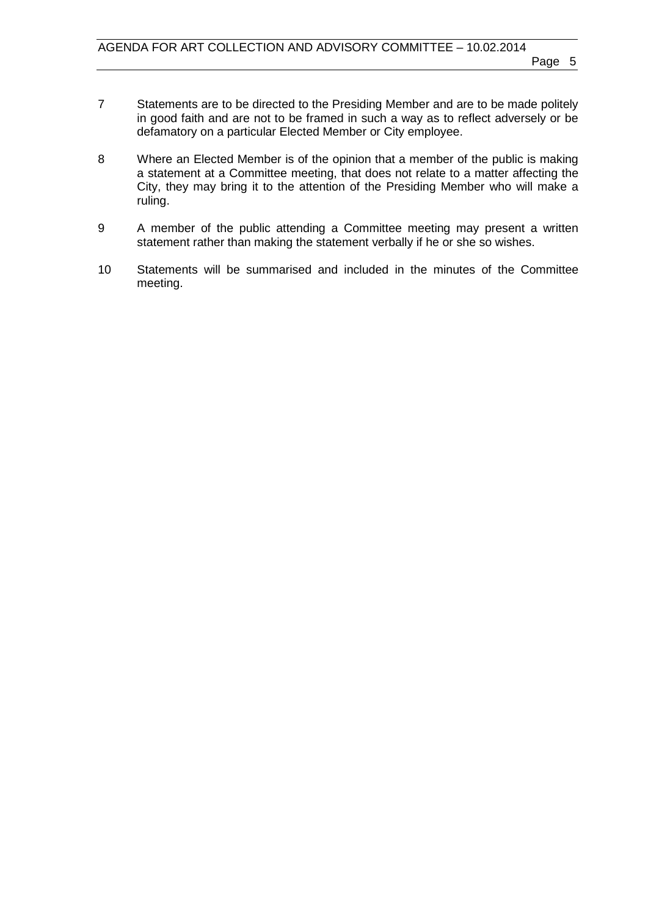- 7 Statements are to be directed to the Presiding Member and are to be made politely in good faith and are not to be framed in such a way as to reflect adversely or be defamatory on a particular Elected Member or City employee.
- 8 Where an Elected Member is of the opinion that a member of the public is making a statement at a Committee meeting, that does not relate to a matter affecting the City, they may bring it to the attention of the Presiding Member who will make a ruling.
- 9 A member of the public attending a Committee meeting may present a written statement rather than making the statement verbally if he or she so wishes.
- 10 Statements will be summarised and included in the minutes of the Committee meeting.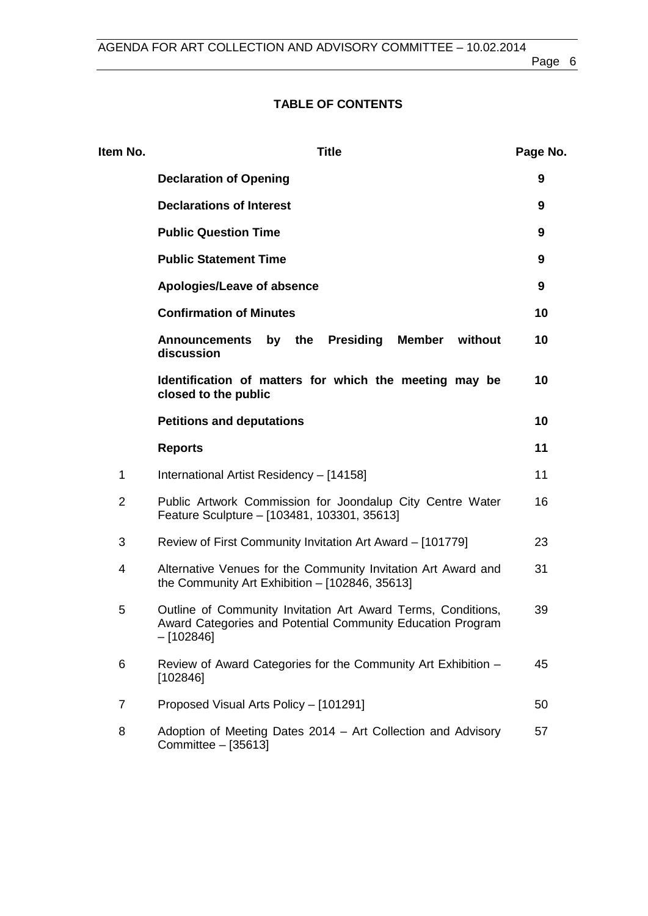## **TABLE OF CONTENTS**

| Item No.       | <b>Title</b>                                                                                                                              | Page No. |
|----------------|-------------------------------------------------------------------------------------------------------------------------------------------|----------|
|                | <b>Declaration of Opening</b>                                                                                                             | 9        |
|                | <b>Declarations of Interest</b>                                                                                                           | 9        |
|                | <b>Public Question Time</b>                                                                                                               | 9        |
|                | <b>Public Statement Time</b>                                                                                                              | 9        |
|                | Apologies/Leave of absence                                                                                                                | 9        |
|                | <b>Confirmation of Minutes</b>                                                                                                            | 10       |
|                | by the<br><b>Presiding</b><br>Member<br>without<br><b>Announcements</b><br>discussion                                                     | 10       |
|                | Identification of matters for which the meeting may be<br>closed to the public                                                            | 10       |
|                | <b>Petitions and deputations</b>                                                                                                          | 10       |
|                | <b>Reports</b>                                                                                                                            | 11       |
| $\mathbf 1$    | International Artist Residency - [14158]                                                                                                  | 11       |
| $\overline{2}$ | Public Artwork Commission for Joondalup City Centre Water<br>Feature Sculpture - [103481, 103301, 35613]                                  | 16       |
| 3              | Review of First Community Invitation Art Award - [101779]                                                                                 |          |
| 4              | Alternative Venues for the Community Invitation Art Award and<br>the Community Art Exhibition $-$ [102846, 35613]                         |          |
| 5              | Outline of Community Invitation Art Award Terms, Conditions,<br>Award Categories and Potential Community Education Program<br>$-[102846]$ |          |
| 6              | Review of Award Categories for the Community Art Exhibition -<br>[102846]                                                                 | 45       |
| $\overline{7}$ | Proposed Visual Arts Policy - [101291]                                                                                                    | 50       |
| 8              | Adoption of Meeting Dates 2014 – Art Collection and Advisory<br>Committee - [35613]                                                       | 57       |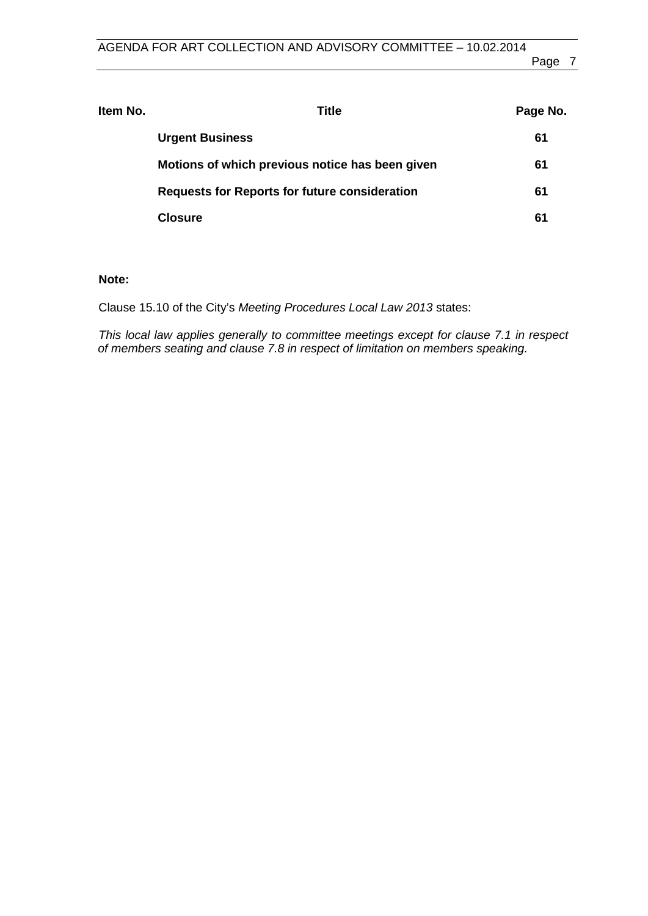| ltem No. | Title                                                | Page No. |
|----------|------------------------------------------------------|----------|
|          | <b>Urgent Business</b>                               | 61       |
|          | Motions of which previous notice has been given      | 61       |
|          | <b>Requests for Reports for future consideration</b> | 61       |
|          | <b>Closure</b>                                       | 61       |

## **Note:**

Clause 15.10 of the City's *Meeting Procedures Local Law 2013* states:

*This local law applies generally to committee meetings except for clause 7.1 in respect of members seating and clause 7.8 in respect of limitation on members speaking.*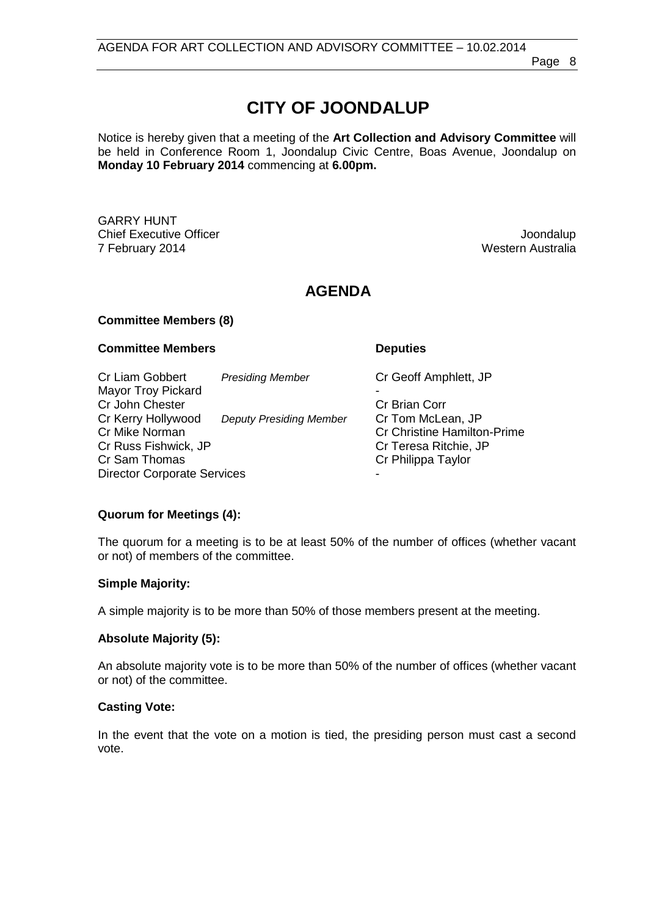# **CITY OF JOONDALUP**

Notice is hereby given that a meeting of the **Art Collection and Advisory Committee** will be held in Conference Room 1, Joondalup Civic Centre, Boas Avenue, Joondalup on **Monday 10 February 2014** commencing at **6.00pm.**

GARRY HUNT **Chief Executive Officer Joseph According to the Chief Executive Officer Joondalup** 7 February 2014 Western Australia

## **AGENDA**

### **Committee Members (8)**

#### **Committee Members Deputies**

Cr Liam Gobbert *Presiding Member* Cr Geoff Amphlett, JP Mayor Troy Pickard - Cr John Chester Cr Kerry Hollywood *Deputy Presiding Member* Cr Tom McLean, JP Cr Mike Norman Cr Christine Hamilton-Prime<br>Cr Christine Hamilton-Prime<br>Cr Cr Christine Hamilton-Prime Cr Russ Fishwick, JP<br>Cr Sam Thomas Cr Philippa Taylor Director Corporate Services

## **Quorum for Meetings (4):**

The quorum for a meeting is to be at least 50% of the number of offices (whether vacant or not) of members of the committee.

#### **Simple Majority:**

A simple majority is to be more than 50% of those members present at the meeting.

## **Absolute Majority (5):**

An absolute majority vote is to be more than 50% of the number of offices (whether vacant or not) of the committee.

#### **Casting Vote:**

In the event that the vote on a motion is tied, the presiding person must cast a second vote.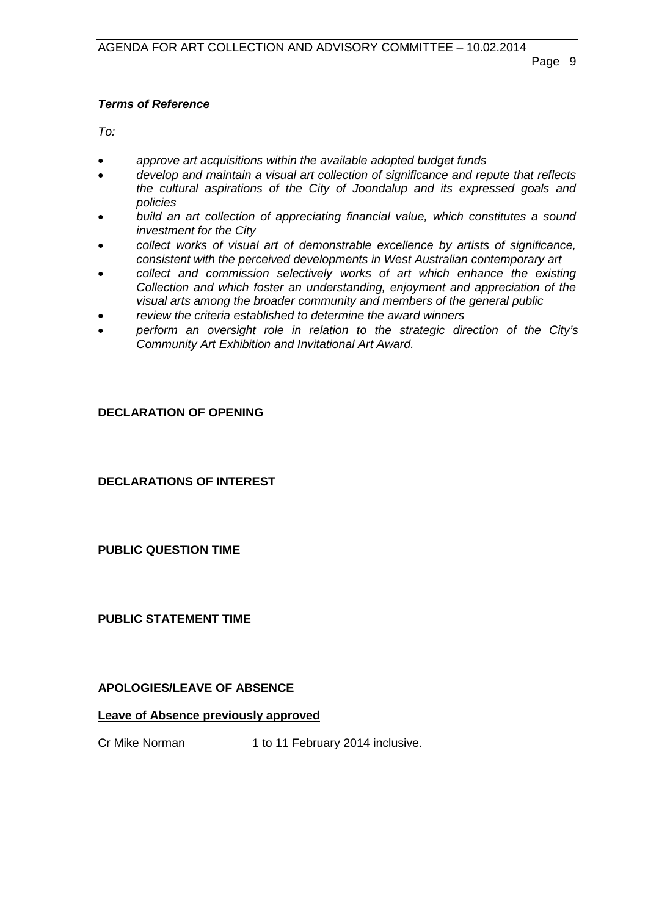## *Terms of Reference*

*To:*

- *approve art acquisitions within the available adopted budget funds*
- *develop and maintain a visual art collection of significance and repute that reflects the cultural aspirations of the City of Joondalup and its expressed goals and policies*
- *build an art collection of appreciating financial value, which constitutes a sound investment for the City*
- *collect works of visual art of demonstrable excellence by artists of significance, consistent with the perceived developments in West Australian contemporary art*
- *collect and commission selectively works of art which enhance the existing Collection and which foster an understanding, enjoyment and appreciation of the visual arts among the broader community and members of the general public*
- *review the criteria established to determine the award winners*
- *perform an oversight role in relation to the strategic direction of the City's Community Art Exhibition and Invitational Art Award.*

## <span id="page-8-0"></span>**DECLARATION OF OPENING**

<span id="page-8-1"></span>**DECLARATIONS OF INTEREST**

<span id="page-8-2"></span>**PUBLIC QUESTION TIME**

<span id="page-8-3"></span>**PUBLIC STATEMENT TIME**

## <span id="page-8-4"></span>**APOLOGIES/LEAVE OF ABSENCE**

## **Leave of Absence previously approved**

Cr Mike Norman 1 to 11 February 2014 inclusive.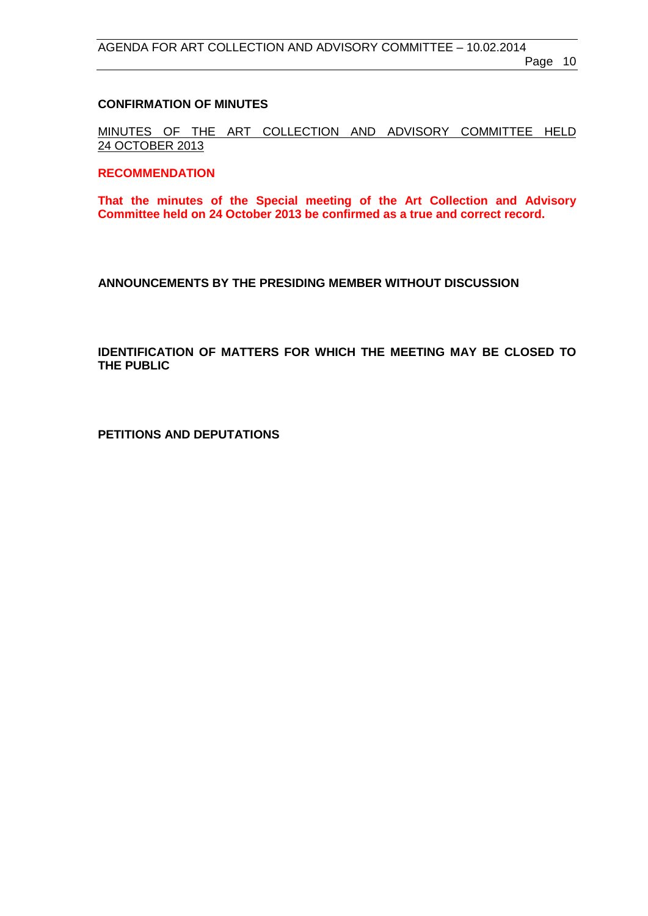## <span id="page-9-0"></span>**CONFIRMATION OF MINUTES**

MINUTES OF THE ART COLLECTION AND ADVISORY COMMITTEE HELD 24 OCTOBER 2013

### **RECOMMENDATION**

**That the minutes of the Special meeting of the Art Collection and Advisory Committee held on 24 October 2013 be confirmed as a true and correct record.**

<span id="page-9-1"></span>**ANNOUNCEMENTS BY THE PRESIDING MEMBER WITHOUT DISCUSSION**

<span id="page-9-2"></span>**IDENTIFICATION OF MATTERS FOR WHICH THE MEETING MAY BE CLOSED TO THE PUBLIC**

<span id="page-9-3"></span>**PETITIONS AND DEPUTATIONS**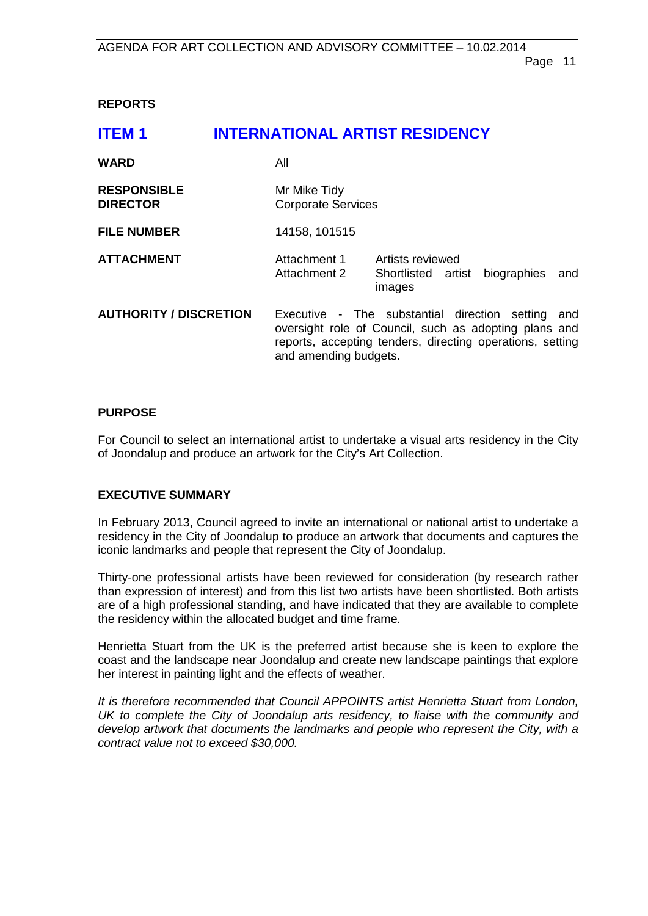## <span id="page-10-0"></span>**REPORTS**

## <span id="page-10-1"></span>**ITEM 1 INTERNATIONAL ARTIST RESIDENCY**

| <b>WARD</b>                           | All                                                                                                                                                                                                 |  |
|---------------------------------------|-----------------------------------------------------------------------------------------------------------------------------------------------------------------------------------------------------|--|
| <b>RESPONSIBLE</b><br><b>DIRECTOR</b> | Mr Mike Tidy<br><b>Corporate Services</b>                                                                                                                                                           |  |
| <b>FILE NUMBER</b>                    | 14158, 101515                                                                                                                                                                                       |  |
| <b>ATTACHMENT</b>                     | Attachment 1<br>Artists reviewed<br>Attachment 2<br>biographies<br>Shortlisted artist<br>and<br>images                                                                                              |  |
| <b>AUTHORITY / DISCRETION</b>         | Executive - The substantial direction setting<br>and<br>oversight role of Council, such as adopting plans and<br>reports, accepting tenders, directing operations, setting<br>and amending budgets. |  |

### **PURPOSE**

For Council to select an international artist to undertake a visual arts residency in the City of Joondalup and produce an artwork for the City's Art Collection.

#### **EXECUTIVE SUMMARY**

In February 2013, Council agreed to invite an international or national artist to undertake a residency in the City of Joondalup to produce an artwork that documents and captures the iconic landmarks and people that represent the City of Joondalup.

Thirty-one professional artists have been reviewed for consideration (by research rather than expression of interest) and from this list two artists have been shortlisted. Both artists are of a high professional standing, and have indicated that they are available to complete the residency within the allocated budget and time frame.

Henrietta Stuart from the UK is the preferred artist because she is keen to explore the coast and the landscape near Joondalup and create new landscape paintings that explore her interest in painting light and the effects of weather.

*It is therefore recommended that Council APPOINTS artist Henrietta Stuart from London, UK to complete the City of Joondalup arts residency, to liaise with the community and develop artwork that documents the landmarks and people who represent the City, with a contract value not to exceed \$30,000.*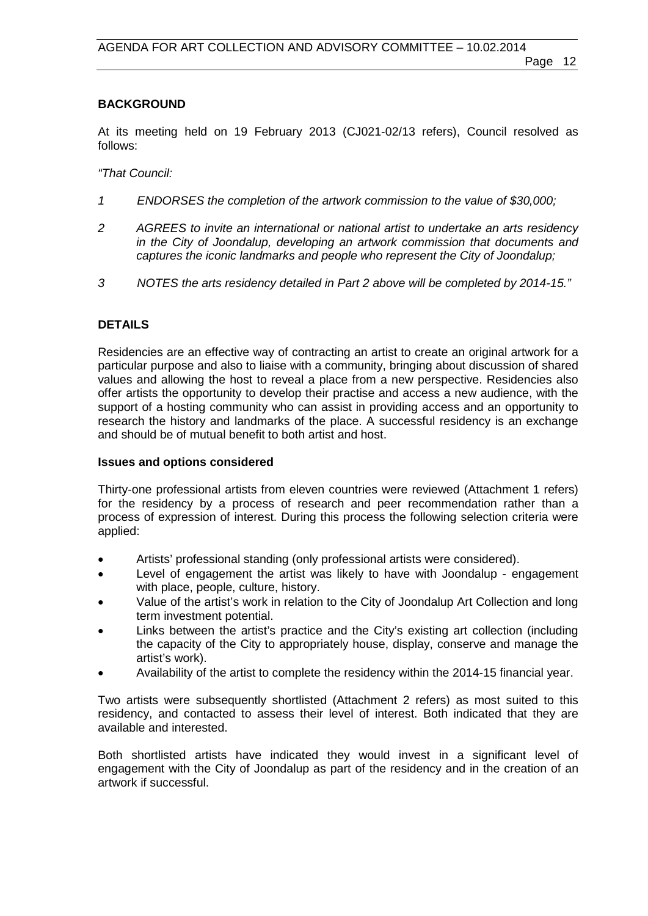## **BACKGROUND**

At its meeting held on 19 February 2013 (CJ021-02/13 refers), Council resolved as follows:

*"That Council:*

- *1 ENDORSES the completion of the artwork commission to the value of \$30,000;*
- *2 AGREES to invite an international or national artist to undertake an arts residency in the City of Joondalup, developing an artwork commission that documents and captures the iconic landmarks and people who represent the City of Joondalup;*
- *3 NOTES the arts residency detailed in Part 2 above will be completed by 2014-15."*

## **DETAILS**

Residencies are an effective way of contracting an artist to create an original artwork for a particular purpose and also to liaise with a community, bringing about discussion of shared values and allowing the host to reveal a place from a new perspective. Residencies also offer artists the opportunity to develop their practise and access a new audience, with the support of a hosting community who can assist in providing access and an opportunity to research the history and landmarks of the place. A successful residency is an exchange and should be of mutual benefit to both artist and host.

#### **Issues and options considered**

Thirty-one professional artists from eleven countries were reviewed (Attachment 1 refers) for the residency by a process of research and peer recommendation rather than a process of expression of interest. During this process the following selection criteria were applied:

- Artists' professional standing (only professional artists were considered).
- Level of engagement the artist was likely to have with Joondalup engagement with place, people, culture, history.
- Value of the artist's work in relation to the City of Joondalup Art Collection and long term investment potential.
- Links between the artist's practice and the City's existing art collection (including the capacity of the City to appropriately house, display, conserve and manage the artist's work).
- Availability of the artist to complete the residency within the 2014-15 financial year.

Two artists were subsequently shortlisted (Attachment 2 refers) as most suited to this residency, and contacted to assess their level of interest. Both indicated that they are available and interested.

Both shortlisted artists have indicated they would invest in a significant level of engagement with the City of Joondalup as part of the residency and in the creation of an artwork if successful.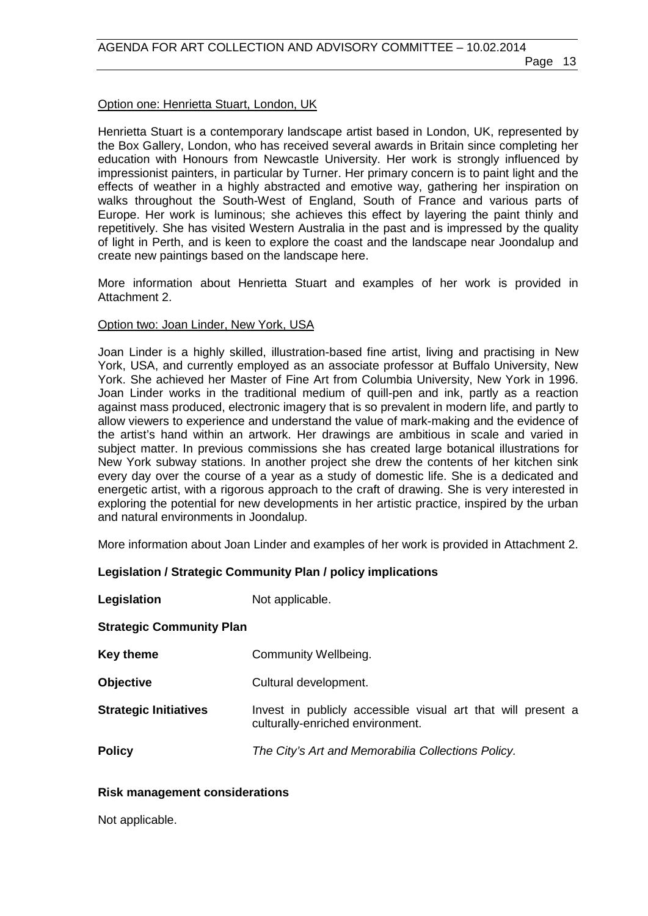### Option one: Henrietta Stuart, London, UK

Henrietta Stuart is a contemporary landscape artist based in London, UK, represented by the Box Gallery, London, who has received several awards in Britain since completing her education with Honours from Newcastle University. Her work is strongly influenced by impressionist painters, in particular by Turner. Her primary concern is to paint light and the effects of weather in a highly abstracted and emotive way, gathering her inspiration on walks throughout the South-West of England, South of France and various parts of Europe. Her work is luminous; she achieves this effect by layering the paint thinly and repetitively. She has visited Western Australia in the past and is impressed by the quality of light in Perth, and is keen to explore the coast and the landscape near Joondalup and create new paintings based on the landscape here.

More information about Henrietta Stuart and examples of her work is provided in Attachment 2.

#### Option two: Joan Linder, New York, USA

Joan Linder is a highly skilled, illustration-based fine artist, living and practising in New York, USA, and currently employed as an associate professor at Buffalo University, New York. She achieved her Master of Fine Art from Columbia University, New York in 1996. Joan Linder works in the traditional medium of quill-pen and ink, partly as a reaction against mass produced, electronic imagery that is so prevalent in modern life, and partly to allow viewers to experience and understand the value of mark-making and the evidence of the artist's hand within an artwork. Her drawings are ambitious in scale and varied in subject matter. In previous commissions she has created large botanical illustrations for New York subway stations. In another project she drew the contents of her kitchen sink every day over the course of a year as a study of domestic life. She is a dedicated and energetic artist, with a rigorous approach to the craft of drawing. She is very interested in exploring the potential for new developments in her artistic practice, inspired by the urban and natural environments in Joondalup.

More information about Joan Linder and examples of her work is provided in Attachment 2.

## **Legislation / Strategic Community Plan / policy implications**

**Legislation** Not applicable.

**Strategic Community Plan**

| <b>Key theme</b> | <b>Community Wellbeing.</b> |
|------------------|-----------------------------|
|------------------|-----------------------------|

- **Objective** Cultural development.
- **Strategic Initiatives** Invest in publicly accessible visual art that will present a culturally-enriched environment.
- **Policy** *The City's Art and Memorabilia Collections Policy.*

#### **Risk management considerations**

Not applicable.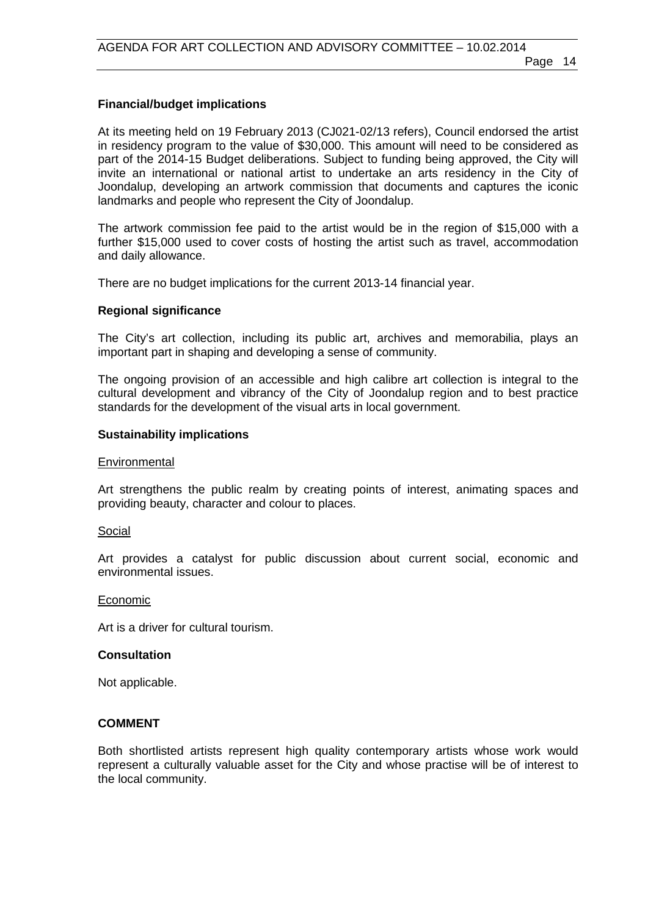### **Financial/budget implications**

At its meeting held on 19 February 2013 (CJ021-02/13 refers), Council endorsed the artist in residency program to the value of \$30,000. This amount will need to be considered as part of the 2014-15 Budget deliberations. Subject to funding being approved, the City will invite an international or national artist to undertake an arts residency in the City of Joondalup, developing an artwork commission that documents and captures the iconic landmarks and people who represent the City of Joondalup.

The artwork commission fee paid to the artist would be in the region of \$15,000 with a further \$15,000 used to cover costs of hosting the artist such as travel, accommodation and daily allowance.

There are no budget implications for the current 2013-14 financial year.

#### **Regional significance**

The City's art collection, including its public art, archives and memorabilia, plays an important part in shaping and developing a sense of community.

The ongoing provision of an accessible and high calibre art collection is integral to the cultural development and vibrancy of the City of Joondalup region and to best practice standards for the development of the visual arts in local government.

#### **Sustainability implications**

#### **Environmental**

Art strengthens the public realm by creating points of interest, animating spaces and providing beauty, character and colour to places.

#### Social

Art provides a catalyst for public discussion about current social, economic and environmental issues.

#### Economic

Art is a driver for cultural tourism.

#### **Consultation**

Not applicable.

#### **COMMENT**

Both shortlisted artists represent high quality contemporary artists whose work would represent a culturally valuable asset for the City and whose practise will be of interest to the local community.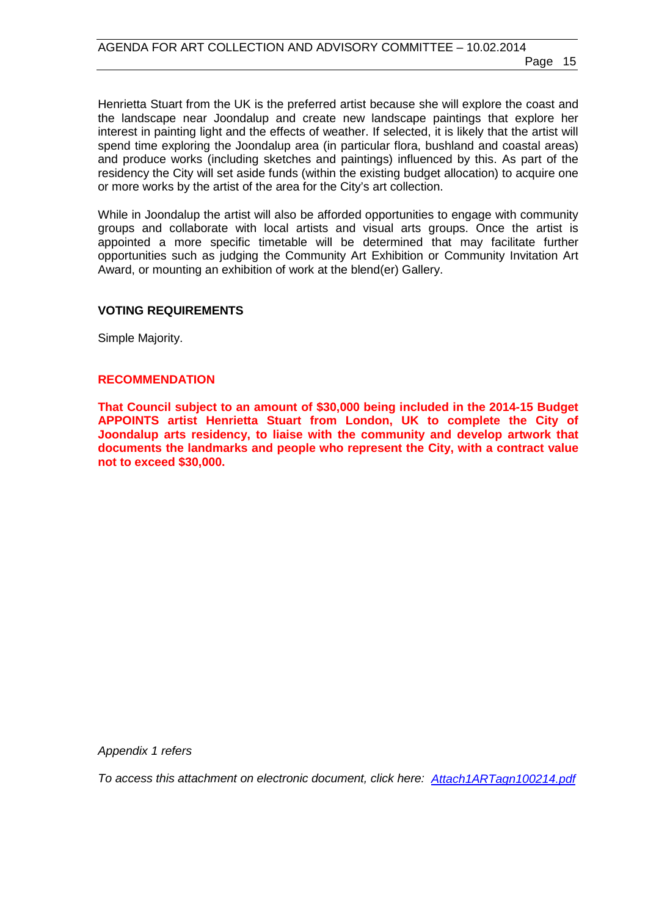Henrietta Stuart from the UK is the preferred artist because she will explore the coast and the landscape near Joondalup and create new landscape paintings that explore her interest in painting light and the effects of weather. If selected, it is likely that the artist will spend time exploring the Joondalup area (in particular flora, bushland and coastal areas) and produce works (including sketches and paintings) influenced by this. As part of the residency the City will set aside funds (within the existing budget allocation) to acquire one or more works by the artist of the area for the City's art collection.

While in Joondalup the artist will also be afforded opportunities to engage with community groups and collaborate with local artists and visual arts groups. Once the artist is appointed a more specific timetable will be determined that may facilitate further opportunities such as judging the Community Art Exhibition or Community Invitation Art Award, or mounting an exhibition of work at the blend(er) Gallery.

### **VOTING REQUIREMENTS**

Simple Majority.

### **RECOMMENDATION**

**That Council subject to an amount of \$30,000 being included in the 2014-15 Budget APPOINTS artist Henrietta Stuart from London, UK to complete the City of Joondalup arts residency, to liaise with the community and develop artwork that documents the landmarks and people who represent the City, with a contract value not to exceed \$30,000.**

*Appendix 1 refers*

*To access this attachment on electronic document, click he[re: Attach1ARTagn100214.pdf](http://www.joondalup.wa.gov.au/files/committees/ACAC/2014/Attach1ARTagn100214.pdf)*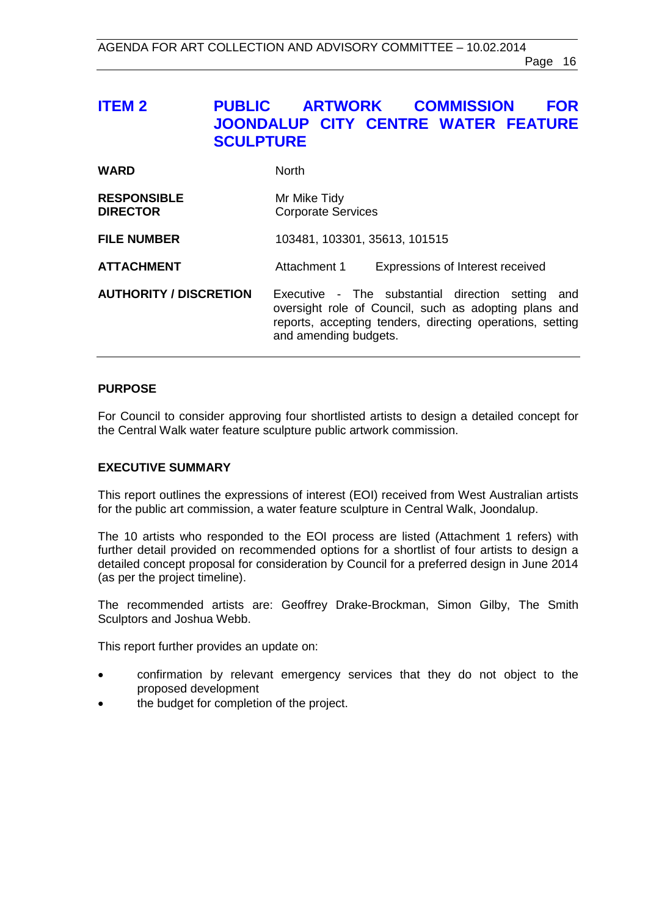## <span id="page-15-0"></span>**ITEM 2 PUBLIC ARTWORK COMMISSION FOR JOONDALUP CITY CENTRE WATER FEATURE SCULPTURE**

| <b>WARD</b>                           | <b>North</b>                                                                                                                                                                                        |  |
|---------------------------------------|-----------------------------------------------------------------------------------------------------------------------------------------------------------------------------------------------------|--|
| <b>RESPONSIBLE</b><br><b>DIRECTOR</b> | Mr Mike Tidy<br><b>Corporate Services</b>                                                                                                                                                           |  |
| <b>FILE NUMBER</b>                    | 103481, 103301, 35613, 101515                                                                                                                                                                       |  |
| <b>ATTACHMENT</b>                     | Expressions of Interest received<br>Attachment 1                                                                                                                                                    |  |
| <b>AUTHORITY / DISCRETION</b>         | Executive - The substantial direction setting<br>and<br>oversight role of Council, such as adopting plans and<br>reports, accepting tenders, directing operations, setting<br>and amending budgets. |  |

## **PURPOSE**

For Council to consider approving four shortlisted artists to design a detailed concept for the Central Walk water feature sculpture public artwork commission.

#### **EXECUTIVE SUMMARY**

This report outlines the expressions of interest (EOI) received from West Australian artists for the public art commission, a water feature sculpture in Central Walk, Joondalup.

The 10 artists who responded to the EOI process are listed (Attachment 1 refers) with further detail provided on recommended options for a shortlist of four artists to design a detailed concept proposal for consideration by Council for a preferred design in June 2014 (as per the project timeline).

The recommended artists are: Geoffrey Drake-Brockman, Simon Gilby, The Smith Sculptors and Joshua Webb.

This report further provides an update on:

- confirmation by relevant emergency services that they do not object to the proposed development
- the budget for completion of the project.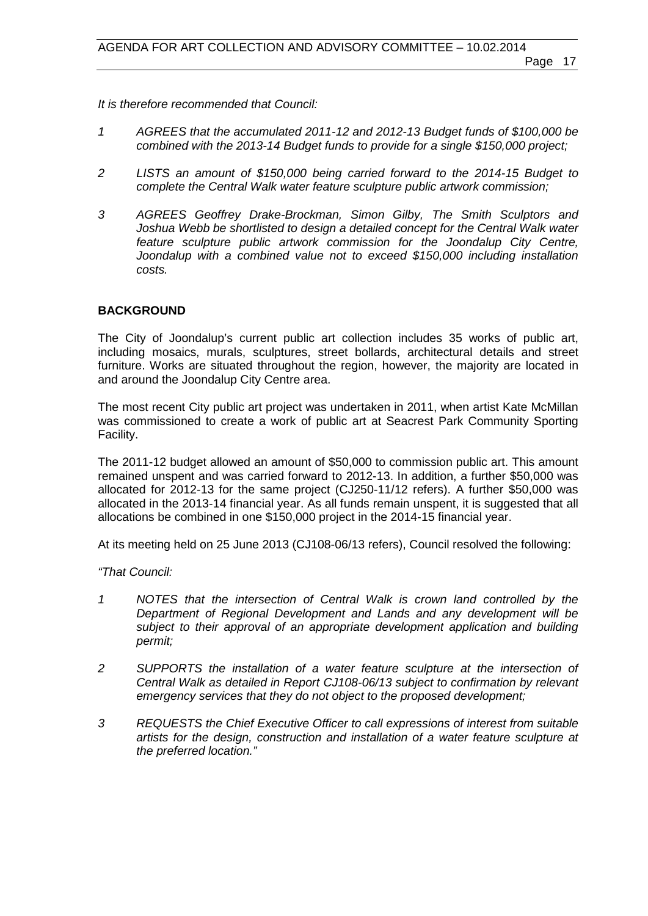*It is therefore recommended that Council:*

- *1 AGREES that the accumulated 2011-12 and 2012-13 Budget funds of \$100,000 be combined with the 2013-14 Budget funds to provide for a single \$150,000 project;*
- *2 LISTS an amount of \$150,000 being carried forward to the 2014-15 Budget to complete the Central Walk water feature sculpture public artwork commission;*
- *3 AGREES Geoffrey Drake-Brockman, Simon Gilby, The Smith Sculptors and Joshua Webb be shortlisted to design a detailed concept for the Central Walk water feature sculpture public artwork commission for the Joondalup City Centre, Joondalup with a combined value not to exceed \$150,000 including installation costs.*

### **BACKGROUND**

The City of Joondalup's current public art collection includes 35 works of public art, including mosaics, murals, sculptures, street bollards, architectural details and street furniture. Works are situated throughout the region, however, the majority are located in and around the Joondalup City Centre area.

The most recent City public art project was undertaken in 2011, when artist Kate McMillan was commissioned to create a work of public art at Seacrest Park Community Sporting Facility.

The 2011-12 budget allowed an amount of \$50,000 to commission public art. This amount remained unspent and was carried forward to 2012-13. In addition, a further \$50,000 was allocated for 2012-13 for the same project (CJ250-11/12 refers). A further \$50,000 was allocated in the 2013-14 financial year. As all funds remain unspent, it is suggested that all allocations be combined in one \$150,000 project in the 2014-15 financial year.

At its meeting held on 25 June 2013 (CJ108-06/13 refers), Council resolved the following:

*"That Council:*

- *1 NOTES that the intersection of Central Walk is crown land controlled by the Department of Regional Development and Lands and any development will be subject to their approval of an appropriate development application and building permit;*
- *2 SUPPORTS the installation of a water feature sculpture at the intersection of Central Walk as detailed in Report CJ108-06/13 subject to confirmation by relevant emergency services that they do not object to the proposed development;*
- *3 REQUESTS the Chief Executive Officer to call expressions of interest from suitable artists for the design, construction and installation of a water feature sculpture at the preferred location."*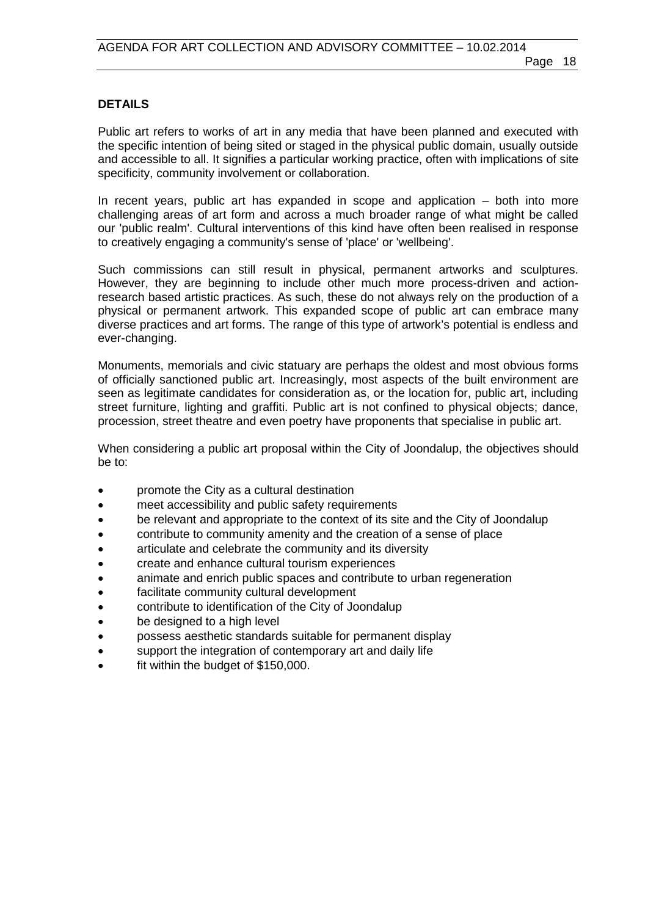### **DETAILS**

Public art refers to works of art in any media that have been planned and executed with the specific intention of being sited or staged in the physical public domain, usually outside and accessible to all. It signifies a particular working practice, often with implications of site specificity, community involvement or collaboration.

In recent years, public art has expanded in scope and application – both into more challenging areas of art form and across a much broader range of what might be called our 'public realm'. Cultural interventions of this kind have often been realised in response to creatively engaging a community's sense of 'place' or 'wellbeing'.

Such commissions can still result in physical, permanent artworks and sculptures. However, they are beginning to include other much more process-driven and actionresearch based artistic practices. As such, these do not always rely on the production of a physical or permanent artwork. This expanded scope of public art can embrace many diverse practices and art forms. The range of this type of artwork's potential is endless and ever-changing.

Monuments, memorials and civic statuary are perhaps the oldest and most obvious forms of officially sanctioned public art. Increasingly, most aspects of the built environment are seen as legitimate candidates for consideration as, or the location for, public art, including street furniture, lighting and graffiti. Public art is not confined to physical objects; dance, procession, street theatre and even poetry have proponents that specialise in public art.

When considering a public art proposal within the City of Joondalup, the objectives should be to:

- promote the City as a cultural destination
- meet accessibility and public safety requirements
- be relevant and appropriate to the context of its site and the City of Joondalup
- contribute to community amenity and the creation of a sense of place
- articulate and celebrate the community and its diversity
- create and enhance cultural tourism experiences
- animate and enrich public spaces and contribute to urban regeneration
- facilitate community cultural development
- contribute to identification of the City of Joondalup
- be designed to a high level
- possess aesthetic standards suitable for permanent display
- support the integration of contemporary art and daily life
- fit within the budget of \$150,000.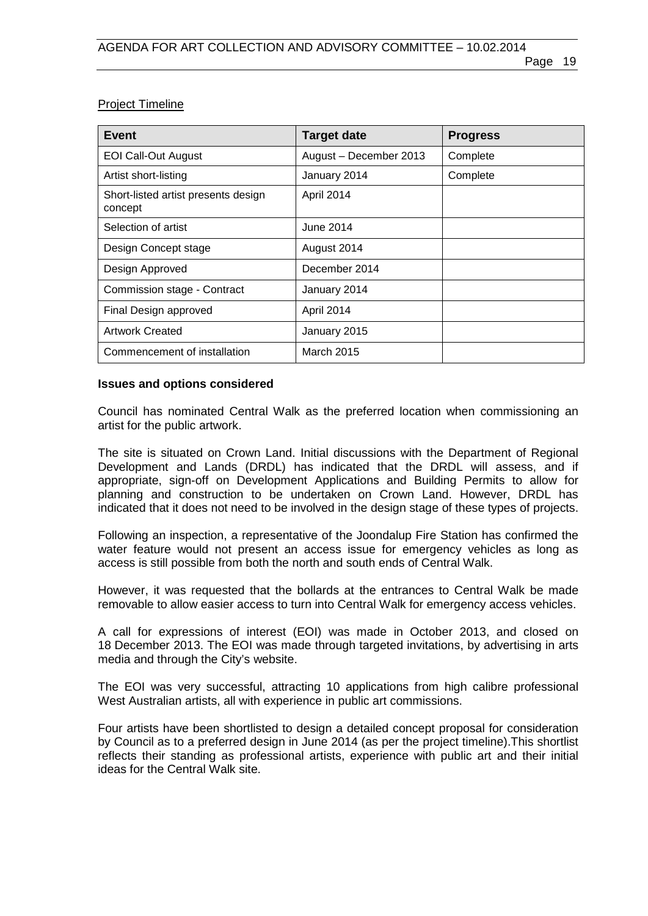## Project Timeline

| Event                                          | <b>Target date</b>     | <b>Progress</b> |
|------------------------------------------------|------------------------|-----------------|
| <b>EOI Call-Out August</b>                     | August - December 2013 | Complete        |
| Artist short-listing                           | January 2014           | Complete        |
| Short-listed artist presents design<br>concept | April 2014             |                 |
| Selection of artist                            | June 2014              |                 |
| Design Concept stage                           | August 2014            |                 |
| Design Approved                                | December 2014          |                 |
| Commission stage - Contract                    | January 2014           |                 |
| Final Design approved                          | April 2014             |                 |
| <b>Artwork Created</b>                         | January 2015           |                 |
| Commencement of installation                   | March 2015             |                 |

#### **Issues and options considered**

Council has nominated Central Walk as the preferred location when commissioning an artist for the public artwork.

The site is situated on Crown Land. Initial discussions with the Department of Regional Development and Lands (DRDL) has indicated that the DRDL will assess, and if appropriate, sign-off on Development Applications and Building Permits to allow for planning and construction to be undertaken on Crown Land. However, DRDL has indicated that it does not need to be involved in the design stage of these types of projects.

Following an inspection, a representative of the Joondalup Fire Station has confirmed the water feature would not present an access issue for emergency vehicles as long as access is still possible from both the north and south ends of Central Walk.

However, it was requested that the bollards at the entrances to Central Walk be made removable to allow easier access to turn into Central Walk for emergency access vehicles.

A call for expressions of interest (EOI) was made in October 2013, and closed on 18 December 2013. The EOI was made through targeted invitations, by advertising in arts media and through the City's website.

The EOI was very successful, attracting 10 applications from high calibre professional West Australian artists, all with experience in public art commissions.

Four artists have been shortlisted to design a detailed concept proposal for consideration by Council as to a preferred design in June 2014 (as per the project timeline).This shortlist reflects their standing as professional artists, experience with public art and their initial ideas for the Central Walk site.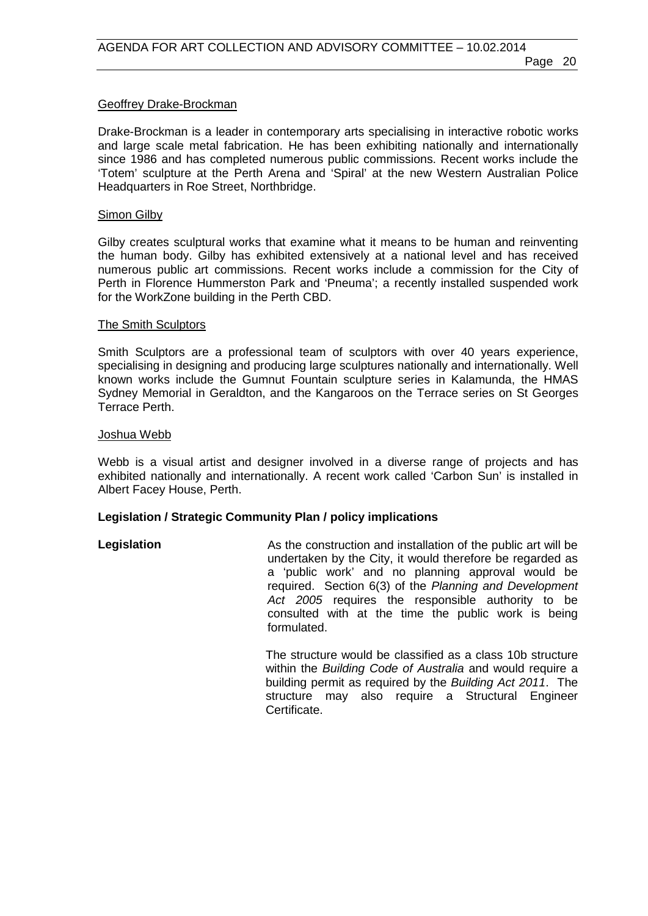#### Geoffrey Drake-Brockman

Drake-Brockman is a leader in contemporary arts specialising in interactive robotic works and large scale metal fabrication. He has been exhibiting nationally and internationally since 1986 and has completed numerous public commissions. Recent works include the 'Totem' sculpture at the Perth Arena and 'Spiral' at the new Western Australian Police Headquarters in Roe Street, Northbridge.

#### Simon Gilby

Gilby creates sculptural works that examine what it means to be human and reinventing the human body. Gilby has exhibited extensively at a national level and has received numerous public art commissions. Recent works include a commission for the City of Perth in Florence Hummerston Park and 'Pneuma'; a recently installed suspended work for the WorkZone building in the Perth CBD.

#### The Smith Sculptors

Smith Sculptors are a professional team of sculptors with over 40 years experience, specialising in designing and producing large sculptures nationally and internationally. Well known works include the Gumnut Fountain sculpture series in Kalamunda, the HMAS Sydney Memorial in Geraldton, and the Kangaroos on the Terrace series on St Georges Terrace Perth.

#### Joshua Webb

Webb is a visual artist and designer involved in a diverse range of projects and has exhibited nationally and internationally. A recent work called 'Carbon Sun' is installed in Albert Facey House, Perth.

#### **Legislation / Strategic Community Plan / policy implications**

## **Legislation** As the construction and installation of the public art will be undertaken by the City, it would therefore be regarded as a 'public work' and no planning approval would be required. Section 6(3) of the *Planning and Development Act 2005* requires the responsible authority to be consulted with at the time the public work is being formulated.

The structure would be classified as a class 10b structure within the *Building Code of Australia* and would require a building permit as required by the *Building Act 2011*. The structure may also require a Structural Engineer Certificate.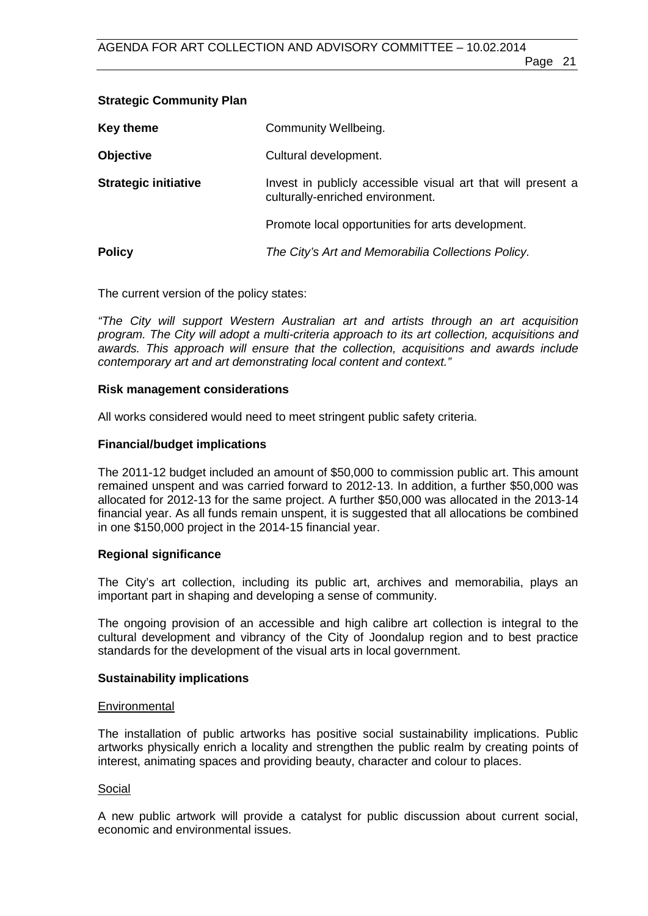## **Strategic Community Plan**

| Key theme                   | Community Wellbeing.                                                                             |
|-----------------------------|--------------------------------------------------------------------------------------------------|
| <b>Objective</b>            | Cultural development.                                                                            |
| <b>Strategic initiative</b> | Invest in publicly accessible visual art that will present a<br>culturally-enriched environment. |
|                             | Promote local opportunities for arts development.                                                |
| <b>Policy</b>               | The City's Art and Memorabilia Collections Policy.                                               |

The current version of the policy states:

*"The City will support Western Australian art and artists through an art acquisition program. The City will adopt a multi-criteria approach to its art collection, acquisitions and awards. This approach will ensure that the collection, acquisitions and awards include contemporary art and art demonstrating local content and context."*

### **Risk management considerations**

All works considered would need to meet stringent public safety criteria.

## **Financial/budget implications**

The 2011-12 budget included an amount of \$50,000 to commission public art. This amount remained unspent and was carried forward to 2012-13. In addition, a further \$50,000 was allocated for 2012-13 for the same project. A further \$50,000 was allocated in the 2013-14 financial year. As all funds remain unspent, it is suggested that all allocations be combined in one \$150,000 project in the 2014-15 financial year.

## **Regional significance**

The City's art collection, including its public art, archives and memorabilia, plays an important part in shaping and developing a sense of community.

The ongoing provision of an accessible and high calibre art collection is integral to the cultural development and vibrancy of the City of Joondalup region and to best practice standards for the development of the visual arts in local government.

#### **Sustainability implications**

#### **Environmental**

The installation of public artworks has positive social sustainability implications. Public artworks physically enrich a locality and strengthen the public realm by creating points of interest, animating spaces and providing beauty, character and colour to places.

#### Social

A new public artwork will provide a catalyst for public discussion about current social, economic and environmental issues.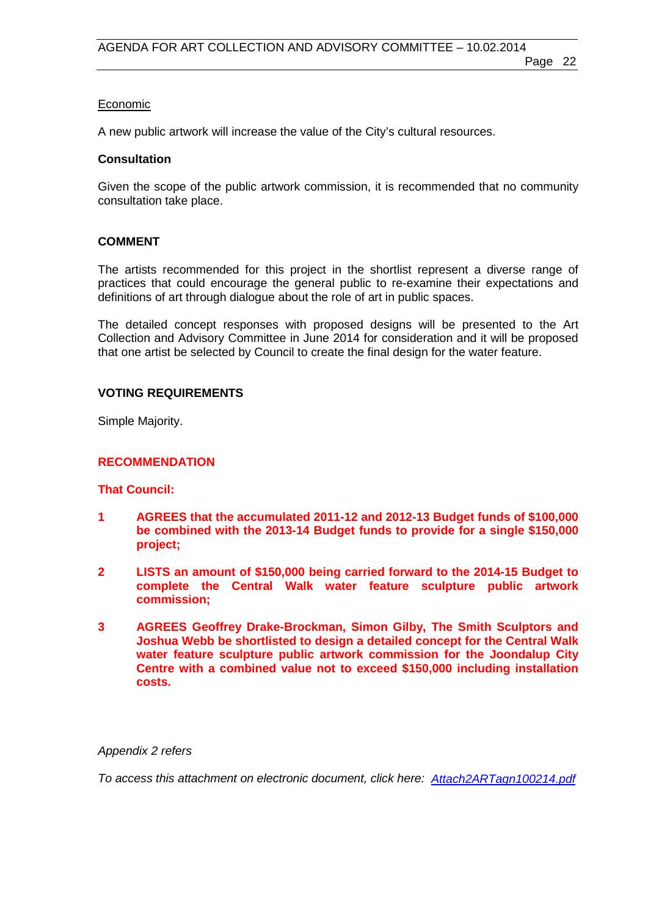#### Economic

A new public artwork will increase the value of the City's cultural resources.

#### **Consultation**

Given the scope of the public artwork commission, it is recommended that no community consultation take place.

#### **COMMENT**

The artists recommended for this project in the shortlist represent a diverse range of practices that could encourage the general public to re-examine their expectations and definitions of art through dialogue about the role of art in public spaces.

The detailed concept responses with proposed designs will be presented to the Art Collection and Advisory Committee in June 2014 for consideration and it will be proposed that one artist be selected by Council to create the final design for the water feature.

#### **VOTING REQUIREMENTS**

Simple Majority.

#### **RECOMMENDATION**

#### **That Council:**

- **1 AGREES that the accumulated 2011-12 and 2012-13 Budget funds of \$100,000 be combined with the 2013-14 Budget funds to provide for a single \$150,000 project;**
- **2 LISTS an amount of \$150,000 being carried forward to the 2014-15 Budget to complete the Central Walk water feature sculpture public artwork commission;**
- **3 AGREES Geoffrey Drake-Brockman, Simon Gilby, The Smith Sculptors and Joshua Webb be shortlisted to design a detailed concept for the Central Walk water feature sculpture public artwork commission for the Joondalup City Centre with a combined value not to exceed \$150,000 including installation costs.**

#### *Appendix 2 refers*

*To access this attachment on electronic document, click here: [Attach2ARTagn100214.pdf](http://www.joondalup.wa.gov.au/files/committees/ACAC/2014/Attach2ARTagn100214.pdf)*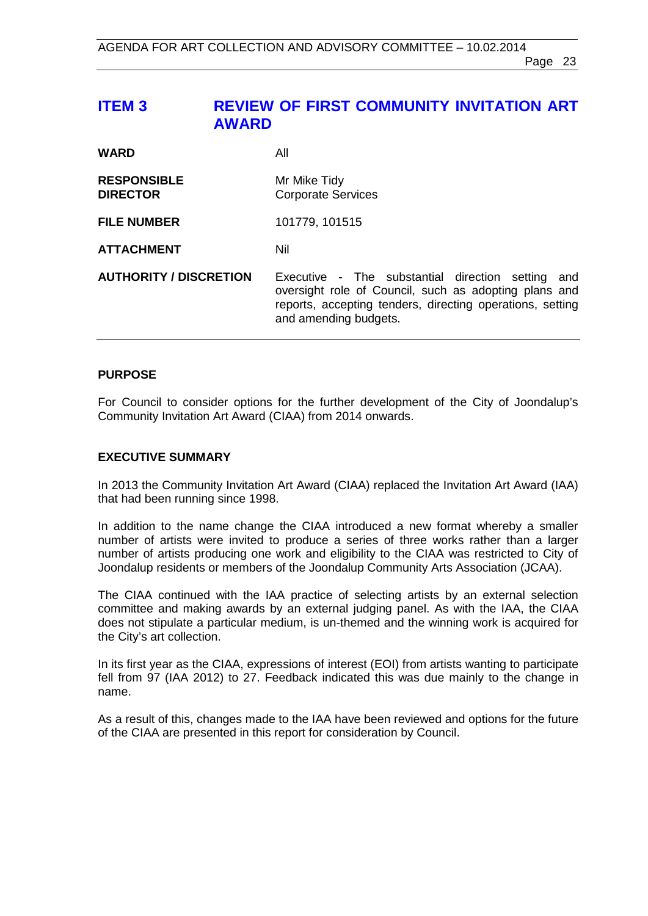## <span id="page-22-0"></span>**ITEM 3 REVIEW OF FIRST COMMUNITY INVITATION ART AWARD**

| <b>WARD</b>                           | All                                                                                                                                                                                              |
|---------------------------------------|--------------------------------------------------------------------------------------------------------------------------------------------------------------------------------------------------|
| <b>RESPONSIBLE</b><br><b>DIRECTOR</b> | Mr Mike Tidy<br><b>Corporate Services</b>                                                                                                                                                        |
| <b>FILE NUMBER</b>                    | 101779, 101515                                                                                                                                                                                   |
| <b>ATTACHMENT</b>                     | Nil                                                                                                                                                                                              |
| <b>AUTHORITY / DISCRETION</b>         | Executive - The substantial direction setting and<br>oversight role of Council, such as adopting plans and<br>reports, accepting tenders, directing operations, setting<br>and amending budgets. |

## **PURPOSE**

For Council to consider options for the further development of the City of Joondalup's Community Invitation Art Award (CIAA) from 2014 onwards.

#### **EXECUTIVE SUMMARY**

In 2013 the Community Invitation Art Award (CIAA) replaced the Invitation Art Award (IAA) that had been running since 1998.

In addition to the name change the CIAA introduced a new format whereby a smaller number of artists were invited to produce a series of three works rather than a larger number of artists producing one work and eligibility to the CIAA was restricted to City of Joondalup residents or members of the Joondalup Community Arts Association (JCAA).

The CIAA continued with the IAA practice of selecting artists by an external selection committee and making awards by an external judging panel. As with the IAA, the CIAA does not stipulate a particular medium, is un-themed and the winning work is acquired for the City's art collection.

In its first year as the CIAA, expressions of interest (EOI) from artists wanting to participate fell from 97 (IAA 2012) to 27. Feedback indicated this was due mainly to the change in name.

As a result of this, changes made to the IAA have been reviewed and options for the future of the CIAA are presented in this report for consideration by Council.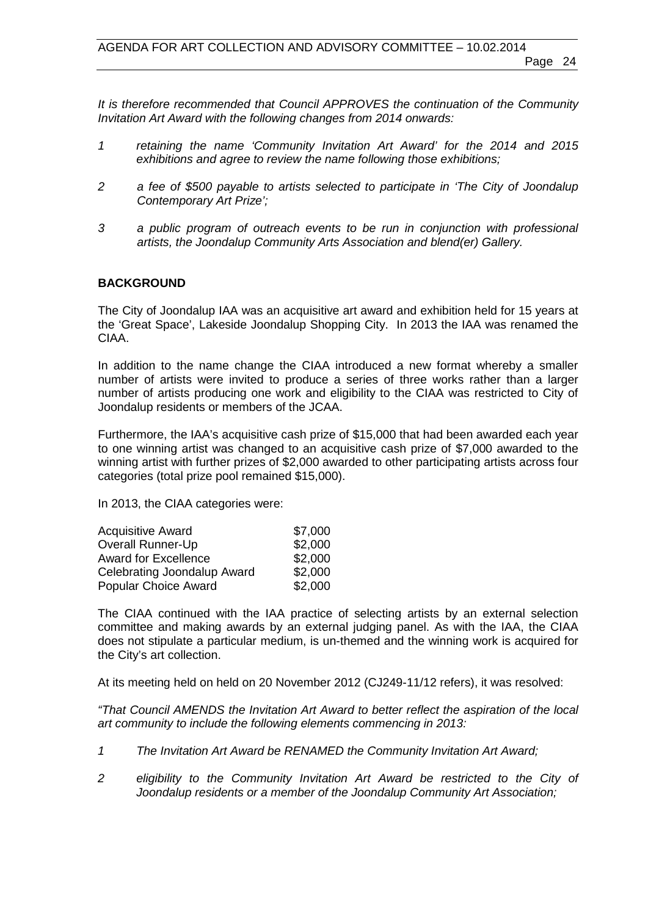*It is therefore recommended that Council APPROVES the continuation of the Community Invitation Art Award with the following changes from 2014 onwards:*

- *1 retaining the name 'Community Invitation Art Award' for the 2014 and 2015 exhibitions and agree to review the name following those exhibitions;*
- *2 a fee of \$500 payable to artists selected to participate in 'The City of Joondalup Contemporary Art Prize';*
- *3 a public program of outreach events to be run in conjunction with professional artists, the Joondalup Community Arts Association and blend(er) Gallery.*

## **BACKGROUND**

The City of Joondalup IAA was an acquisitive art award and exhibition held for 15 years at the 'Great Space', Lakeside Joondalup Shopping City. In 2013 the IAA was renamed the CIAA.

In addition to the name change the CIAA introduced a new format whereby a smaller number of artists were invited to produce a series of three works rather than a larger number of artists producing one work and eligibility to the CIAA was restricted to City of Joondalup residents or members of the JCAA.

Furthermore, the IAA's acquisitive cash prize of \$15,000 that had been awarded each year to one winning artist was changed to an acquisitive cash prize of \$7,000 awarded to the winning artist with further prizes of \$2,000 awarded to other participating artists across four categories (total prize pool remained \$15,000).

In 2013, the CIAA categories were:

| <b>Acquisitive Award</b>    | \$7,000 |
|-----------------------------|---------|
| <b>Overall Runner-Up</b>    | \$2,000 |
| <b>Award for Excellence</b> | \$2,000 |
| Celebrating Joondalup Award | \$2,000 |
| Popular Choice Award        | \$2,000 |

The CIAA continued with the IAA practice of selecting artists by an external selection committee and making awards by an external judging panel. As with the IAA, the CIAA does not stipulate a particular medium, is un-themed and the winning work is acquired for the City's art collection.

At its meeting held on held on 20 November 2012 (CJ249-11/12 refers), it was resolved:

*"That Council AMENDS the Invitation Art Award to better reflect the aspiration of the local art community to include the following elements commencing in 2013:*

- *1 The Invitation Art Award be RENAMED the Community Invitation Art Award;*
- *2 eligibility to the Community Invitation Art Award be restricted to the City of Joondalup residents or a member of the Joondalup Community Art Association;*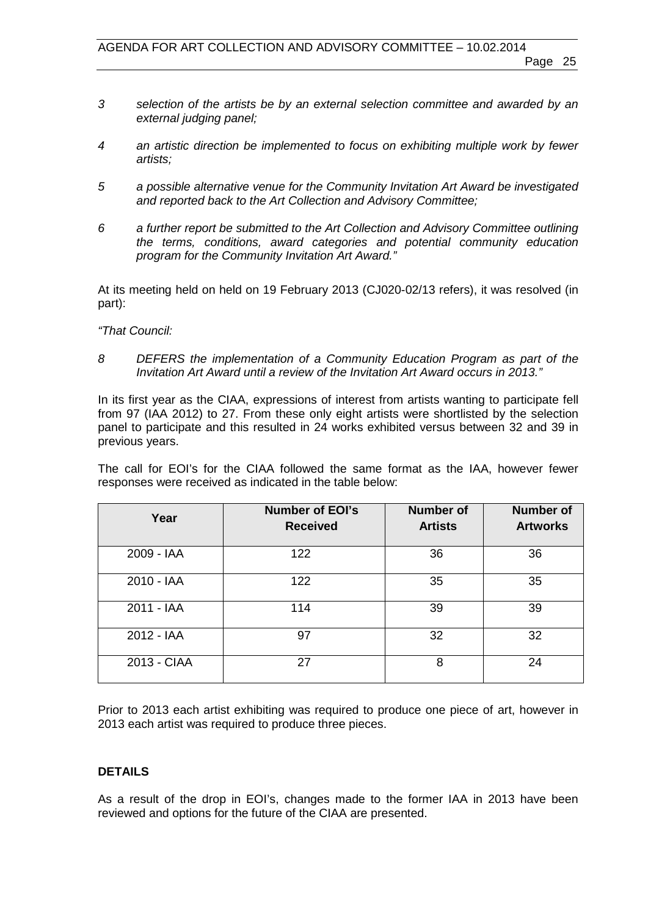- *3 selection of the artists be by an external selection committee and awarded by an external judging panel;*
- *4 an artistic direction be implemented to focus on exhibiting multiple work by fewer artists;*
- *5 a possible alternative venue for the Community Invitation Art Award be investigated and reported back to the Art Collection and Advisory Committee;*
- *6 a further report be submitted to the Art Collection and Advisory Committee outlining the terms, conditions, award categories and potential community education program for the Community Invitation Art Award."*

At its meeting held on held on 19 February 2013 (CJ020-02/13 refers), it was resolved (in part):

*"That Council:*

*8 DEFERS the implementation of a Community Education Program as part of the Invitation Art Award until a review of the Invitation Art Award occurs in 2013."*

In its first year as the CIAA, expressions of interest from artists wanting to participate fell from 97 (IAA 2012) to 27. From these only eight artists were shortlisted by the selection panel to participate and this resulted in 24 works exhibited versus between 32 and 39 in previous years.

The call for EOI's for the CIAA followed the same format as the IAA, however fewer responses were received as indicated in the table below:

| Year        | <b>Number of EOI's</b><br><b>Received</b> | <b>Number of</b><br><b>Artists</b> | <b>Number of</b><br><b>Artworks</b> |
|-------------|-------------------------------------------|------------------------------------|-------------------------------------|
| 2009 - IAA  | 122                                       | 36                                 | 36                                  |
| 2010 - IAA  | 122                                       | 35                                 | 35                                  |
| 2011 - IAA  | 114                                       | 39                                 | 39                                  |
| 2012 - IAA  | 97                                        | 32                                 | 32                                  |
| 2013 - CIAA | 27                                        | 8                                  | 24                                  |

Prior to 2013 each artist exhibiting was required to produce one piece of art, however in 2013 each artist was required to produce three pieces.

## **DETAILS**

As a result of the drop in EOI's, changes made to the former IAA in 2013 have been reviewed and options for the future of the CIAA are presented.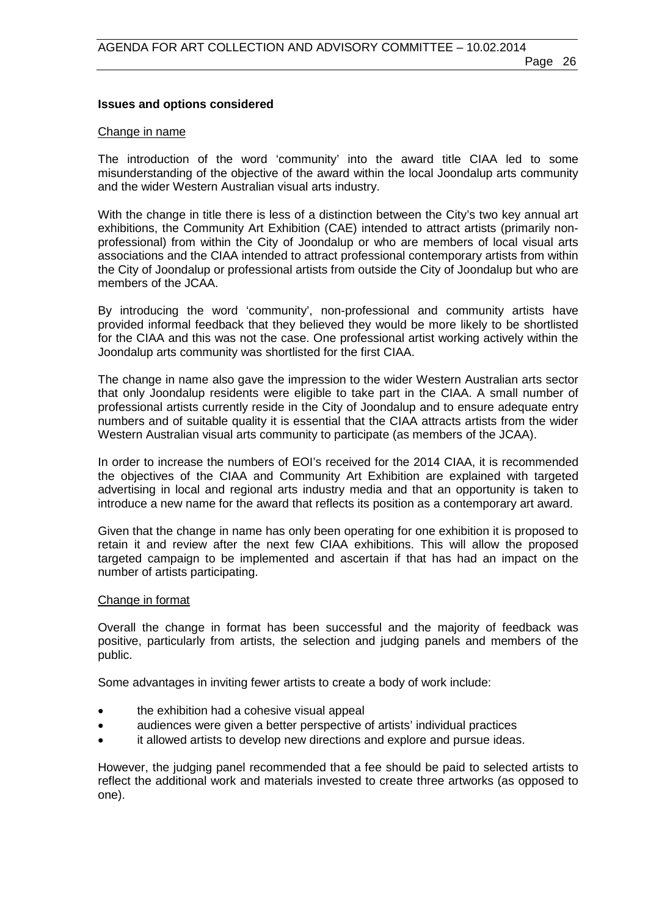#### **Issues and options considered**

#### Change in name

The introduction of the word 'community' into the award title CIAA led to some misunderstanding of the objective of the award within the local Joondalup arts community and the wider Western Australian visual arts industry.

With the change in title there is less of a distinction between the City's two key annual art exhibitions, the Community Art Exhibition (CAE) intended to attract artists (primarily nonprofessional) from within the City of Joondalup or who are members of local visual arts associations and the CIAA intended to attract professional contemporary artists from within the City of Joondalup or professional artists from outside the City of Joondalup but who are members of the JCAA.

By introducing the word 'community', non-professional and community artists have provided informal feedback that they believed they would be more likely to be shortlisted for the CIAA and this was not the case. One professional artist working actively within the Joondalup arts community was shortlisted for the first CIAA.

The change in name also gave the impression to the wider Western Australian arts sector that only Joondalup residents were eligible to take part in the CIAA. A small number of professional artists currently reside in the City of Joondalup and to ensure adequate entry numbers and of suitable quality it is essential that the CIAA attracts artists from the wider Western Australian visual arts community to participate (as members of the JCAA).

In order to increase the numbers of EOI's received for the 2014 CIAA, it is recommended the objectives of the CIAA and Community Art Exhibition are explained with targeted advertising in local and regional arts industry media and that an opportunity is taken to introduce a new name for the award that reflects its position as a contemporary art award.

Given that the change in name has only been operating for one exhibition it is proposed to retain it and review after the next few CIAA exhibitions. This will allow the proposed targeted campaign to be implemented and ascertain if that has had an impact on the number of artists participating.

#### Change in format

Overall the change in format has been successful and the majority of feedback was positive, particularly from artists, the selection and judging panels and members of the public.

Some advantages in inviting fewer artists to create a body of work include:

- the exhibition had a cohesive visual appeal
- audiences were given a better perspective of artists' individual practices
- it allowed artists to develop new directions and explore and pursue ideas.

However, the judging panel recommended that a fee should be paid to selected artists to reflect the additional work and materials invested to create three artworks (as opposed to one).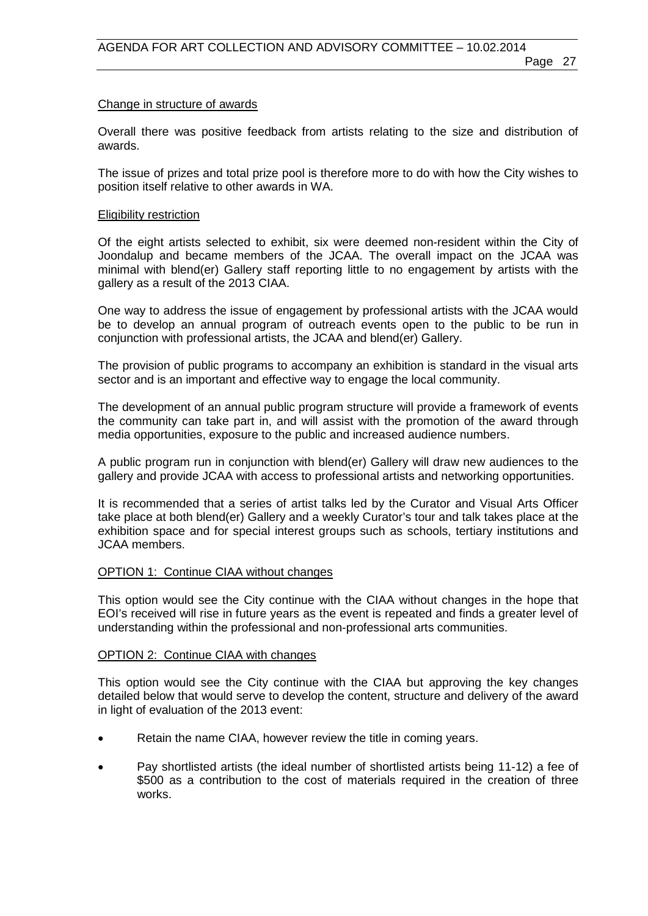#### Change in structure of awards

Overall there was positive feedback from artists relating to the size and distribution of awards.

The issue of prizes and total prize pool is therefore more to do with how the City wishes to position itself relative to other awards in WA.

#### Eligibility restriction

Of the eight artists selected to exhibit, six were deemed non-resident within the City of Joondalup and became members of the JCAA. The overall impact on the JCAA was minimal with blend(er) Gallery staff reporting little to no engagement by artists with the gallery as a result of the 2013 CIAA.

One way to address the issue of engagement by professional artists with the JCAA would be to develop an annual program of outreach events open to the public to be run in conjunction with professional artists, the JCAA and blend(er) Gallery.

The provision of public programs to accompany an exhibition is standard in the visual arts sector and is an important and effective way to engage the local community.

The development of an annual public program structure will provide a framework of events the community can take part in, and will assist with the promotion of the award through media opportunities, exposure to the public and increased audience numbers.

A public program run in conjunction with blend(er) Gallery will draw new audiences to the gallery and provide JCAA with access to professional artists and networking opportunities.

It is recommended that a series of artist talks led by the Curator and Visual Arts Officer take place at both blend(er) Gallery and a weekly Curator's tour and talk takes place at the exhibition space and for special interest groups such as schools, tertiary institutions and JCAA members.

#### OPTION 1: Continue CIAA without changes

This option would see the City continue with the CIAA without changes in the hope that EOI's received will rise in future years as the event is repeated and finds a greater level of understanding within the professional and non-professional arts communities.

#### OPTION 2: Continue CIAA with changes

This option would see the City continue with the CIAA but approving the key changes detailed below that would serve to develop the content, structure and delivery of the award in light of evaluation of the 2013 event:

- Retain the name CIAA, however review the title in coming years.
- Pay shortlisted artists (the ideal number of shortlisted artists being 11-12) a fee of \$500 as a contribution to the cost of materials required in the creation of three works.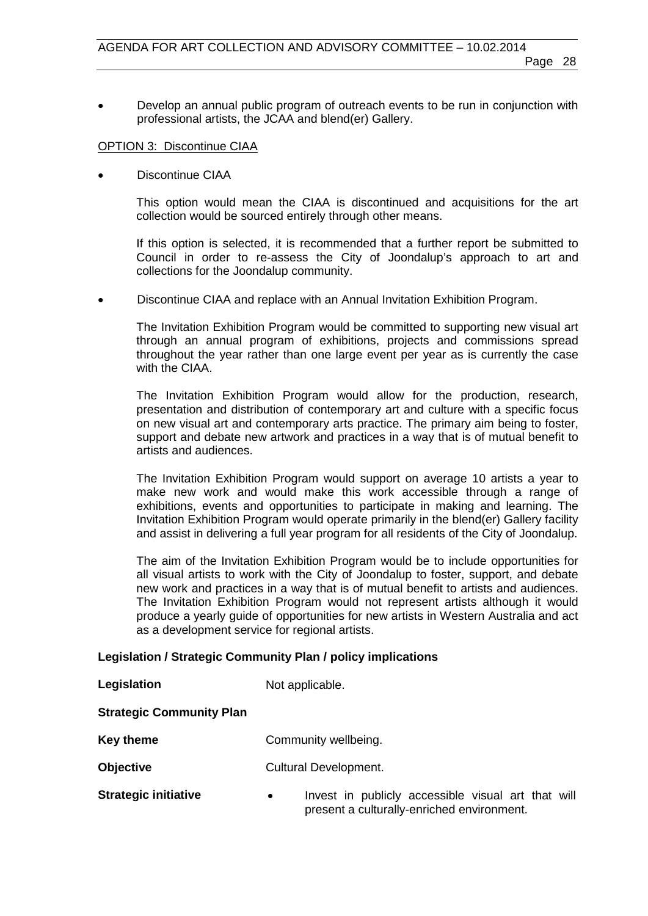• Develop an annual public program of outreach events to be run in conjunction with professional artists, the JCAA and blend(er) Gallery.

## OPTION 3: Discontinue CIAA

• Discontinue CIAA

This option would mean the CIAA is discontinued and acquisitions for the art collection would be sourced entirely through other means.

If this option is selected, it is recommended that a further report be submitted to Council in order to re-assess the City of Joondalup's approach to art and collections for the Joondalup community.

• Discontinue CIAA and replace with an Annual Invitation Exhibition Program.

The Invitation Exhibition Program would be committed to supporting new visual art through an annual program of exhibitions, projects and commissions spread throughout the year rather than one large event per year as is currently the case with the CIAA.

The Invitation Exhibition Program would allow for the production, research, presentation and distribution of contemporary art and culture with a specific focus on new visual art and contemporary arts practice. The primary aim being to foster, support and debate new artwork and practices in a way that is of mutual benefit to artists and audiences.

The Invitation Exhibition Program would support on average 10 artists a year to make new work and would make this work accessible through a range of exhibitions, events and opportunities to participate in making and learning. The Invitation Exhibition Program would operate primarily in the blend(er) Gallery facility and assist in delivering a full year program for all residents of the City of Joondalup.

The aim of the Invitation Exhibition Program would be to include opportunities for all visual artists to work with the City of Joondalup to foster, support, and debate new work and practices in a way that is of mutual benefit to artists and audiences. The Invitation Exhibition Program would not represent artists although it would produce a yearly guide of opportunities for new artists in Western Australia and act as a development service for regional artists.

## **Legislation / Strategic Community Plan / policy implications**

| Legislation                     | Not applicable.      |
|---------------------------------|----------------------|
| <b>Strategic Community Plan</b> |                      |
| <b>Key theme</b>                | Community wellbeing. |

- **Objective** Cultural Development.
- **Strategic initiative Invest in publicly accessible visual art that will** present a culturally-enriched environment.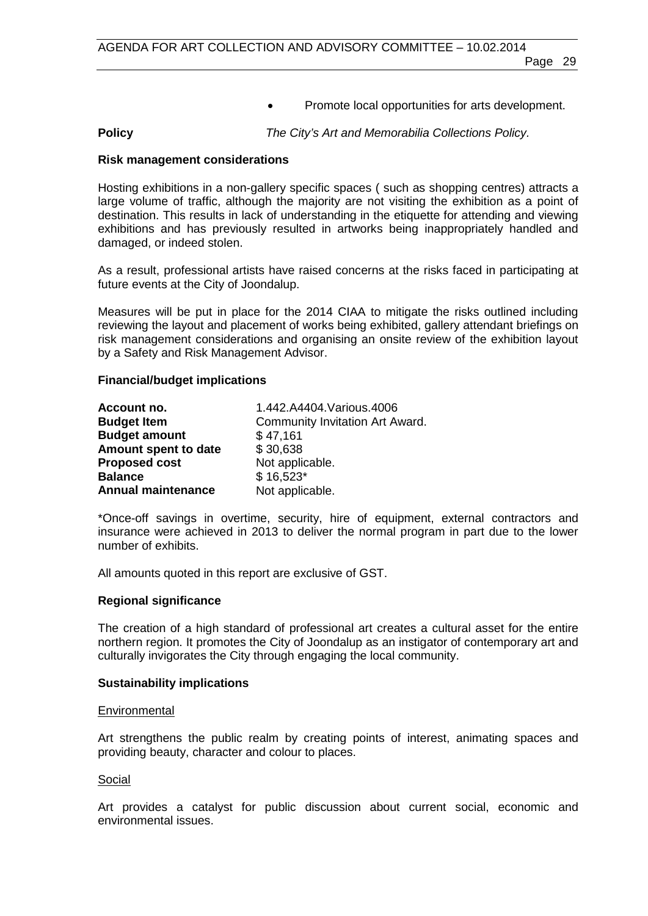• Promote local opportunities for arts development.

**Policy** *The City's Art and Memorabilia Collections Policy.*

#### **Risk management considerations**

Hosting exhibitions in a non-gallery specific spaces ( such as shopping centres) attracts a large volume of traffic, although the majority are not visiting the exhibition as a point of destination. This results in lack of understanding in the etiquette for attending and viewing exhibitions and has previously resulted in artworks being inappropriately handled and damaged, or indeed stolen.

As a result, professional artists have raised concerns at the risks faced in participating at future events at the City of Joondalup.

Measures will be put in place for the 2014 CIAA to mitigate the risks outlined including reviewing the layout and placement of works being exhibited, gallery attendant briefings on risk management considerations and organising an onsite review of the exhibition layout by a Safety and Risk Management Advisor.

#### **Financial/budget implications**

| Account no.               | 1.442.A4404.Various.4006        |
|---------------------------|---------------------------------|
| <b>Budget Item</b>        | Community Invitation Art Award. |
| <b>Budget amount</b>      | \$47,161                        |
| Amount spent to date      | \$30,638                        |
| <b>Proposed cost</b>      | Not applicable.                 |
| <b>Balance</b>            | $$16,523*$                      |
| <b>Annual maintenance</b> | Not applicable.                 |

\*Once-off savings in overtime, security, hire of equipment, external contractors and insurance were achieved in 2013 to deliver the normal program in part due to the lower number of exhibits.

All amounts quoted in this report are exclusive of GST.

#### **Regional significance**

The creation of a high standard of professional art creates a cultural asset for the entire northern region. It promotes the City of Joondalup as an instigator of contemporary art and culturally invigorates the City through engaging the local community.

#### **Sustainability implications**

#### **Environmental**

Art strengthens the public realm by creating points of interest, animating spaces and providing beauty, character and colour to places.

#### Social

Art provides a catalyst for public discussion about current social, economic and environmental issues.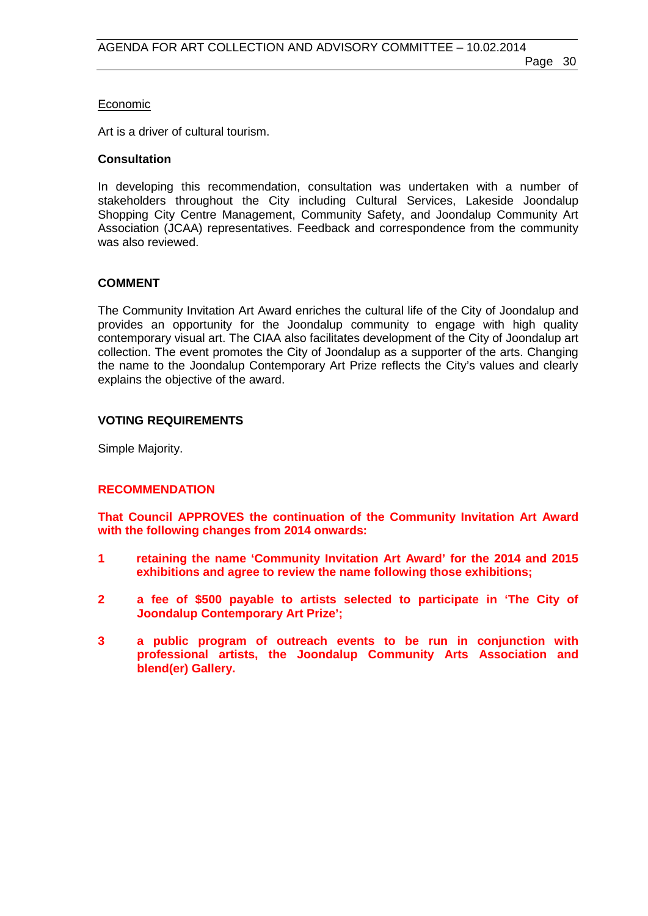## Economic

Art is a driver of cultural tourism.

### **Consultation**

In developing this recommendation, consultation was undertaken with a number of stakeholders throughout the City including Cultural Services, Lakeside Joondalup Shopping City Centre Management, Community Safety, and Joondalup Community Art Association (JCAA) representatives. Feedback and correspondence from the community was also reviewed.

## **COMMENT**

The Community Invitation Art Award enriches the cultural life of the City of Joondalup and provides an opportunity for the Joondalup community to engage with high quality contemporary visual art. The CIAA also facilitates development of the City of Joondalup art collection. The event promotes the City of Joondalup as a supporter of the arts. Changing the name to the Joondalup Contemporary Art Prize reflects the City's values and clearly explains the objective of the award.

## **VOTING REQUIREMENTS**

Simple Majority.

## **RECOMMENDATION**

**That Council APPROVES the continuation of the Community Invitation Art Award with the following changes from 2014 onwards:**

- **1 retaining the name 'Community Invitation Art Award' for the 2014 and 2015 exhibitions and agree to review the name following those exhibitions;**
- **2 a fee of \$500 payable to artists selected to participate in 'The City of Joondalup Contemporary Art Prize';**
- **3 a public program of outreach events to be run in conjunction with professional artists, the Joondalup Community Arts Association and blend(er) Gallery.**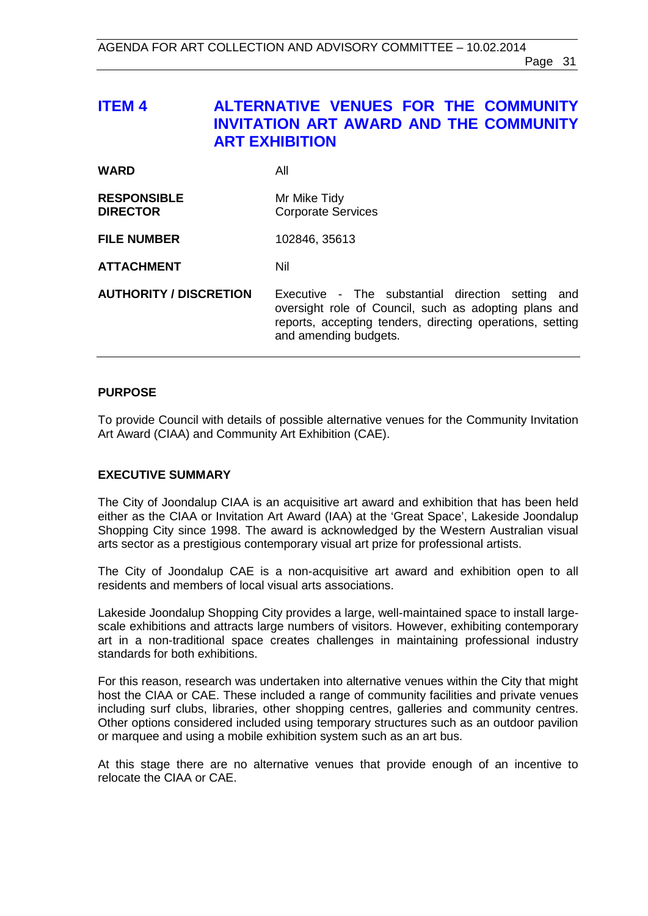## <span id="page-30-0"></span>**ITEM 4 ALTERNATIVE VENUES FOR THE COMMUNITY INVITATION ART AWARD AND THE COMMUNITY ART EXHIBITION**

| <b>WARD</b>                           | All                                                                                                                                                                                              |
|---------------------------------------|--------------------------------------------------------------------------------------------------------------------------------------------------------------------------------------------------|
| <b>RESPONSIBLE</b><br><b>DIRECTOR</b> | Mr Mike Tidy<br><b>Corporate Services</b>                                                                                                                                                        |
| <b>FILE NUMBER</b>                    | 102846, 35613                                                                                                                                                                                    |
| <b>ATTACHMENT</b>                     | Nil                                                                                                                                                                                              |
| <b>AUTHORITY / DISCRETION</b>         | Executive - The substantial direction setting and<br>oversight role of Council, such as adopting plans and<br>reports, accepting tenders, directing operations, setting<br>and amending budgets. |

## **PURPOSE**

To provide Council with details of possible alternative venues for the Community Invitation Art Award (CIAA) and Community Art Exhibition (CAE).

## **EXECUTIVE SUMMARY**

The City of Joondalup CIAA is an acquisitive art award and exhibition that has been held either as the CIAA or Invitation Art Award (IAA) at the 'Great Space', Lakeside Joondalup Shopping City since 1998. The award is acknowledged by the Western Australian visual arts sector as a prestigious contemporary visual art prize for professional artists.

The City of Joondalup CAE is a non-acquisitive art award and exhibition open to all residents and members of local visual arts associations.

Lakeside Joondalup Shopping City provides a large, well-maintained space to install largescale exhibitions and attracts large numbers of visitors. However, exhibiting contemporary art in a non-traditional space creates challenges in maintaining professional industry standards for both exhibitions.

For this reason, research was undertaken into alternative venues within the City that might host the CIAA or CAE. These included a range of community facilities and private venues including surf clubs, libraries, other shopping centres, galleries and community centres. Other options considered included using temporary structures such as an outdoor pavilion or marquee and using a mobile exhibition system such as an art bus.

At this stage there are no alternative venues that provide enough of an incentive to relocate the CIAA or CAE.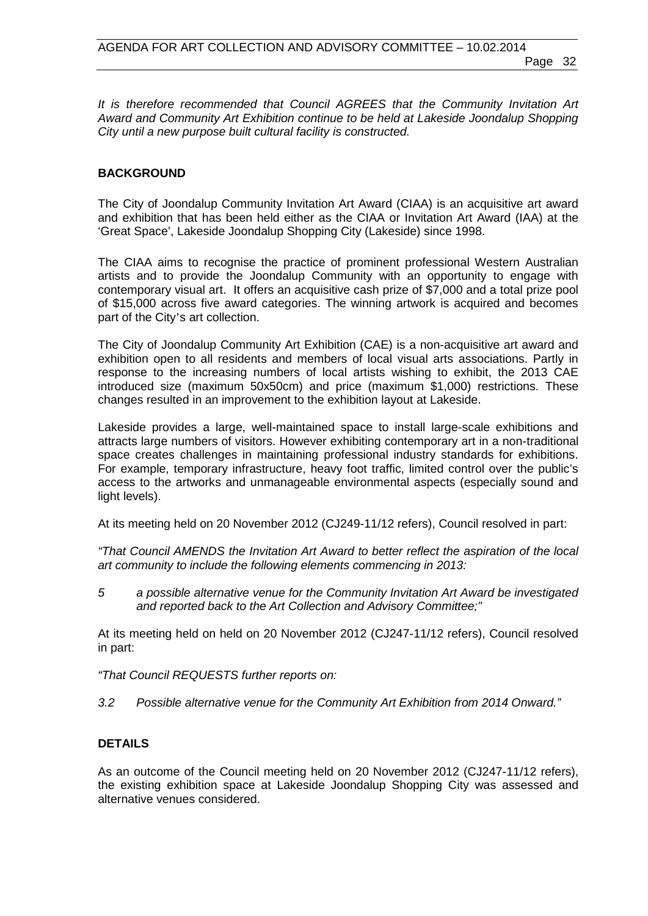*It is therefore recommended that Council AGREES that the Community Invitation Art Award and Community Art Exhibition continue to be held at Lakeside Joondalup Shopping City until a new purpose built cultural facility is constructed.*

## **BACKGROUND**

The City of Joondalup Community Invitation Art Award (CIAA) is an acquisitive art award and exhibition that has been held either as the CIAA or Invitation Art Award (IAA) at the 'Great Space', Lakeside Joondalup Shopping City (Lakeside) since 1998.

The CIAA aims to recognise the practice of prominent professional Western Australian artists and to provide the Joondalup Community with an opportunity to engage with contemporary visual art. It offers an acquisitive cash prize of \$7,000 and a total prize pool of \$15,000 across five award categories. The winning artwork is acquired and becomes part of the City's art collection.

The City of Joondalup Community Art Exhibition (CAE) is a non-acquisitive art award and exhibition open to all residents and members of local visual arts associations. Partly in response to the increasing numbers of local artists wishing to exhibit, the 2013 CAE introduced size (maximum 50x50cm) and price (maximum \$1,000) restrictions. These changes resulted in an improvement to the exhibition layout at Lakeside.

Lakeside provides a large, well-maintained space to install large-scale exhibitions and attracts large numbers of visitors. However exhibiting contemporary art in a non-traditional space creates challenges in maintaining professional industry standards for exhibitions. For example, temporary infrastructure, heavy foot traffic, limited control over the public's access to the artworks and unmanageable environmental aspects (especially sound and light levels).

At its meeting held on 20 November 2012 (CJ249-11/12 refers), Council resolved in part:

*"That Council AMENDS the Invitation Art Award to better reflect the aspiration of the local art community to include the following elements commencing in 2013:* 

*5 a possible alternative venue for the Community Invitation Art Award be investigated and reported back to the Art Collection and Advisory Committee;"*

At its meeting held on held on 20 November 2012 (CJ247-11/12 refers), Council resolved in part:

*"That Council REQUESTS further reports on:*

*3.2 Possible alternative venue for the Community Art Exhibition from 2014 Onward."*

## **DETAILS**

As an outcome of the Council meeting held on 20 November 2012 (CJ247-11/12 refers), the existing exhibition space at Lakeside Joondalup Shopping City was assessed and alternative venues considered.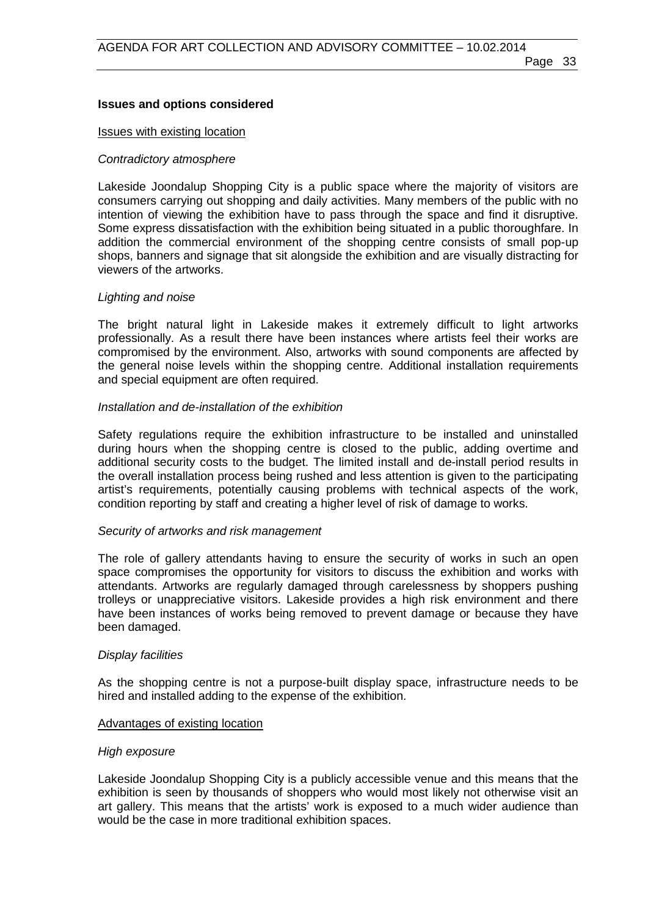### **Issues and options considered**

#### Issues with existing location

#### *Contradictory atmosphere*

Lakeside Joondalup Shopping City is a public space where the majority of visitors are consumers carrying out shopping and daily activities. Many members of the public with no intention of viewing the exhibition have to pass through the space and find it disruptive. Some express dissatisfaction with the exhibition being situated in a public thoroughfare. In addition the commercial environment of the shopping centre consists of small pop-up shops, banners and signage that sit alongside the exhibition and are visually distracting for viewers of the artworks.

#### *Lighting and noise*

The bright natural light in Lakeside makes it extremely difficult to light artworks professionally. As a result there have been instances where artists feel their works are compromised by the environment. Also, artworks with sound components are affected by the general noise levels within the shopping centre. Additional installation requirements and special equipment are often required.

### *Installation and de-installation of the exhibition*

Safety regulations require the exhibition infrastructure to be installed and uninstalled during hours when the shopping centre is closed to the public, adding overtime and additional security costs to the budget. The limited install and de-install period results in the overall installation process being rushed and less attention is given to the participating artist's requirements, potentially causing problems with technical aspects of the work, condition reporting by staff and creating a higher level of risk of damage to works.

#### *Security of artworks and risk management*

The role of gallery attendants having to ensure the security of works in such an open space compromises the opportunity for visitors to discuss the exhibition and works with attendants. Artworks are regularly damaged through carelessness by shoppers pushing trolleys or unappreciative visitors. Lakeside provides a high risk environment and there have been instances of works being removed to prevent damage or because they have been damaged.

#### *Display facilities*

As the shopping centre is not a purpose-built display space, infrastructure needs to be hired and installed adding to the expense of the exhibition.

#### Advantages of existing location

#### *High exposure*

Lakeside Joondalup Shopping City is a publicly accessible venue and this means that the exhibition is seen by thousands of shoppers who would most likely not otherwise visit an art gallery. This means that the artists' work is exposed to a much wider audience than would be the case in more traditional exhibition spaces.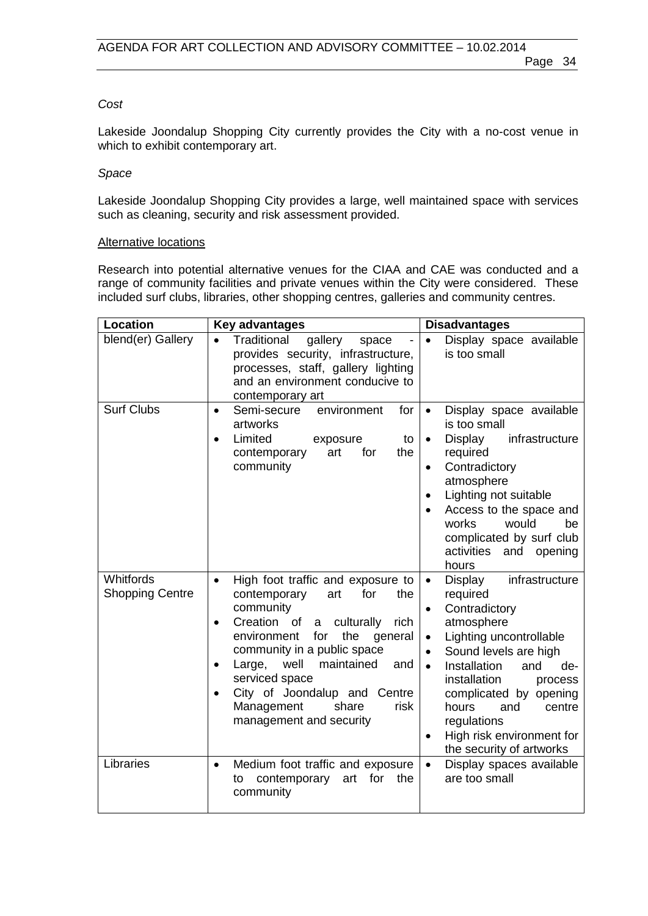#### *Cost*

Lakeside Joondalup Shopping City currently provides the City with a no-cost venue in which to exhibit contemporary art.

#### *Space*

Lakeside Joondalup Shopping City provides a large, well maintained space with services such as cleaning, security and risk assessment provided.

#### Alternative locations

Research into potential alternative venues for the CIAA and CAE was conducted and a range of community facilities and private venues within the City were considered. These included surf clubs, libraries, other shopping centres, galleries and community centres.

| <b>Location</b>                     | <b>Key advantages</b>                                                                                                                                                                                                                                                                                                                                                               | <b>Disadvantages</b>                                                                                                                                                                                                                                                                                                                                              |
|-------------------------------------|-------------------------------------------------------------------------------------------------------------------------------------------------------------------------------------------------------------------------------------------------------------------------------------------------------------------------------------------------------------------------------------|-------------------------------------------------------------------------------------------------------------------------------------------------------------------------------------------------------------------------------------------------------------------------------------------------------------------------------------------------------------------|
| blend(er) Gallery                   | Traditional<br>gallery<br>$\bullet$<br>space<br>provides security, infrastructure,<br>processes, staff, gallery lighting<br>and an environment conducive to<br>contemporary art                                                                                                                                                                                                     | Display space available<br>$\bullet$<br>is too small                                                                                                                                                                                                                                                                                                              |
| <b>Surf Clubs</b>                   | Semi-secure<br>environment<br>for<br>$\bullet$<br>artworks<br>Limited<br>exposure<br>to<br>$\bullet$<br>for<br>contemporary<br>art<br>the<br>community                                                                                                                                                                                                                              | Display space available<br>$\bullet$<br>is too small<br>Display<br>infrastructure<br>$\bullet$<br>required<br>Contradictory<br>$\bullet$<br>atmosphere<br>Lighting not suitable<br>Access to the space and<br>works<br>would<br>be<br>complicated by surf club<br>activities<br>and opening<br>hours                                                              |
| Whitfords<br><b>Shopping Centre</b> | High foot traffic and exposure to<br>$\bullet$<br>contemporary<br>for<br>the<br>art<br>community<br>Creation of<br>a culturally<br>rich<br>٠<br>the<br>environment<br>for<br>general<br>community in a public space<br>well<br>maintained<br>Large,<br>and<br>$\bullet$<br>serviced space<br>City of Joondalup and Centre<br>Management<br>risk<br>share<br>management and security | infrastructure<br>Display<br>$\bullet$<br>required<br>Contradictory<br>atmosphere<br>Lighting uncontrollable<br>$\bullet$<br>Sound levels are high<br>$\bullet$<br>Installation<br>and<br>de-<br>$\bullet$<br>installation<br>process<br>complicated by opening<br>hours<br>centre<br>and<br>regulations<br>High risk environment for<br>the security of artworks |
| Libraries                           | Medium foot traffic and exposure<br>$\bullet$<br>contemporary<br>for<br>the<br>to<br>art<br>community                                                                                                                                                                                                                                                                               | Display spaces available<br>$\bullet$<br>are too small                                                                                                                                                                                                                                                                                                            |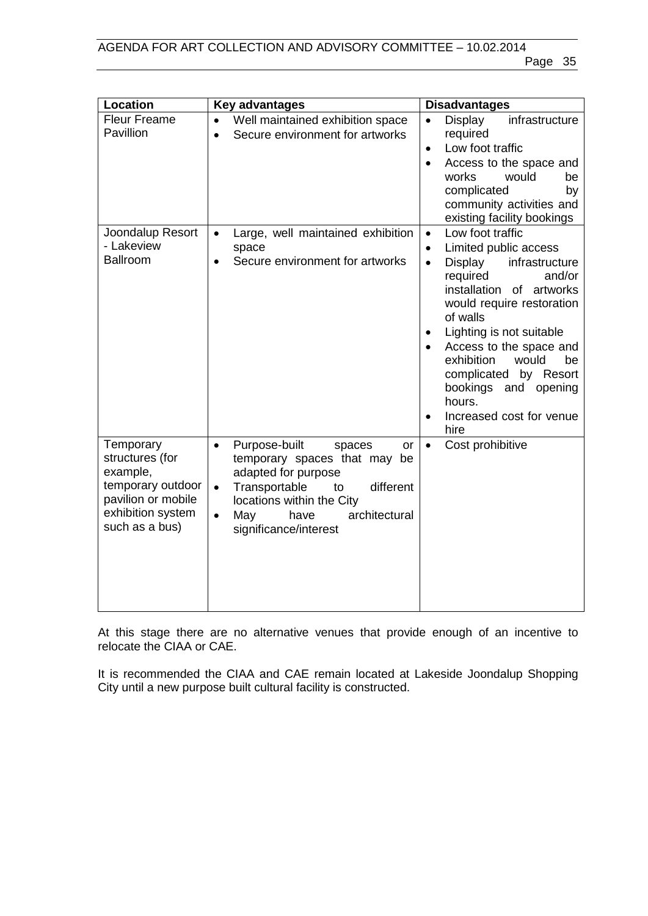| <b>Location</b>                                                                                                            | <b>Key advantages</b>                                                                                                                                                                                                                                 | <b>Disadvantages</b>                                                                                                                                                                                                                                                                                                                                                                        |
|----------------------------------------------------------------------------------------------------------------------------|-------------------------------------------------------------------------------------------------------------------------------------------------------------------------------------------------------------------------------------------------------|---------------------------------------------------------------------------------------------------------------------------------------------------------------------------------------------------------------------------------------------------------------------------------------------------------------------------------------------------------------------------------------------|
| <b>Fleur Freame</b><br>Pavillion                                                                                           | Well maintained exhibition space<br>$\bullet$<br>Secure environment for artworks<br>$\bullet$                                                                                                                                                         | infrastructure<br>Display<br>$\bullet$<br>required<br>Low foot traffic<br>$\bullet$<br>Access to the space and<br>works<br>would<br>be<br>complicated<br>by<br>community activities and<br>existing facility bookings                                                                                                                                                                       |
| Joondalup Resort<br>- Lakeview<br><b>Ballroom</b>                                                                          | Large, well maintained exhibition<br>$\bullet$<br>space<br>Secure environment for artworks<br>$\bullet$                                                                                                                                               | Low foot traffic<br>$\bullet$<br>Limited public access<br>$\bullet$<br>Display<br>infrastructure<br>$\bullet$<br>required<br>and/or<br>installation of artworks<br>would require restoration<br>of walls<br>Lighting is not suitable<br>Access to the space and<br>exhibition<br>would<br>be<br>complicated by Resort<br>bookings and opening<br>hours.<br>Increased cost for venue<br>hire |
| Temporary<br>structures (for<br>example,<br>temporary outdoor<br>pavilion or mobile<br>exhibition system<br>such as a bus) | Purpose-built<br>spaces<br>or<br>$\bullet$<br>temporary spaces that may be<br>adapted for purpose<br>different<br>Transportable<br>to<br>$\bullet$<br>locations within the City<br>May<br>have<br>architectural<br>$\bullet$<br>significance/interest | Cost prohibitive<br>$\bullet$                                                                                                                                                                                                                                                                                                                                                               |

At this stage there are no alternative venues that provide enough of an incentive to relocate the CIAA or CAE.

It is recommended the CIAA and CAE remain located at Lakeside Joondalup Shopping City until a new purpose built cultural facility is constructed.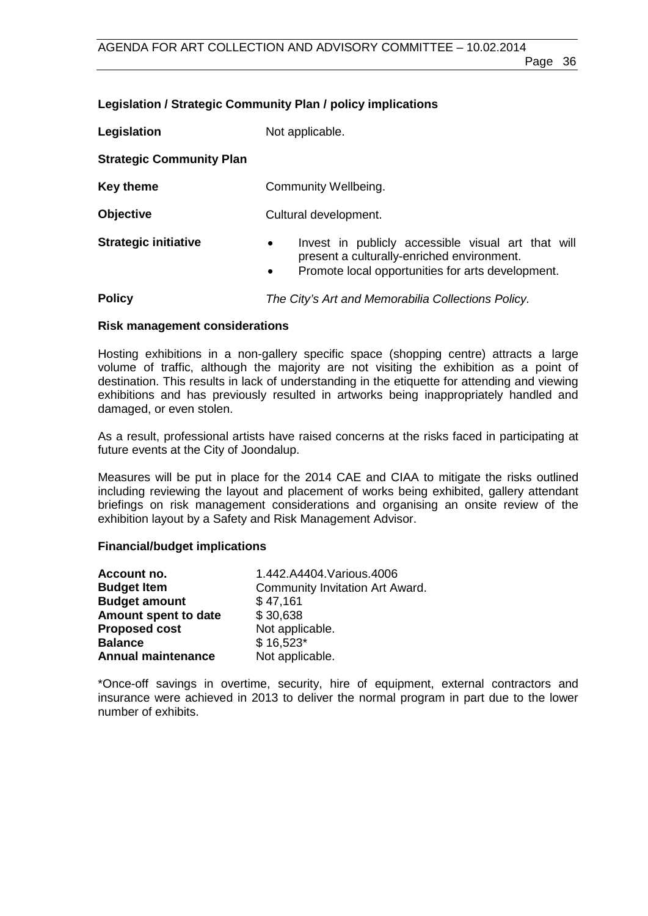## **Legislation / Strategic Community Plan / policy implications**

**Legislation** Not applicable. **Strategic Community Plan Key theme Community Wellbeing.** 

**Objective** Cultural development. **Strategic initiative •** Invest in publicly accessible visual art that will

present a culturally-enriched environment. • Promote local opportunities for arts development.

**Policy** *The City's Art and Memorabilia Collections Policy.*

## **Risk management considerations**

Hosting exhibitions in a non-gallery specific space (shopping centre) attracts a large volume of traffic, although the majority are not visiting the exhibition as a point of destination. This results in lack of understanding in the etiquette for attending and viewing exhibitions and has previously resulted in artworks being inappropriately handled and damaged, or even stolen.

As a result, professional artists have raised concerns at the risks faced in participating at future events at the City of Joondalup.

Measures will be put in place for the 2014 CAE and CIAA to mitigate the risks outlined including reviewing the layout and placement of works being exhibited, gallery attendant briefings on risk management considerations and organising an onsite review of the exhibition layout by a Safety and Risk Management Advisor.

## **Financial/budget implications**

| Account no.               | 1.442.A4404. Various. 4006      |
|---------------------------|---------------------------------|
| <b>Budget Item</b>        | Community Invitation Art Award. |
| <b>Budget amount</b>      | \$47,161                        |
| Amount spent to date      | \$30,638                        |
| <b>Proposed cost</b>      | Not applicable.                 |
| <b>Balance</b>            | $$16,523*$                      |
| <b>Annual maintenance</b> | Not applicable.                 |
|                           |                                 |

\*Once-off savings in overtime, security, hire of equipment, external contractors and insurance were achieved in 2013 to deliver the normal program in part due to the lower number of exhibits.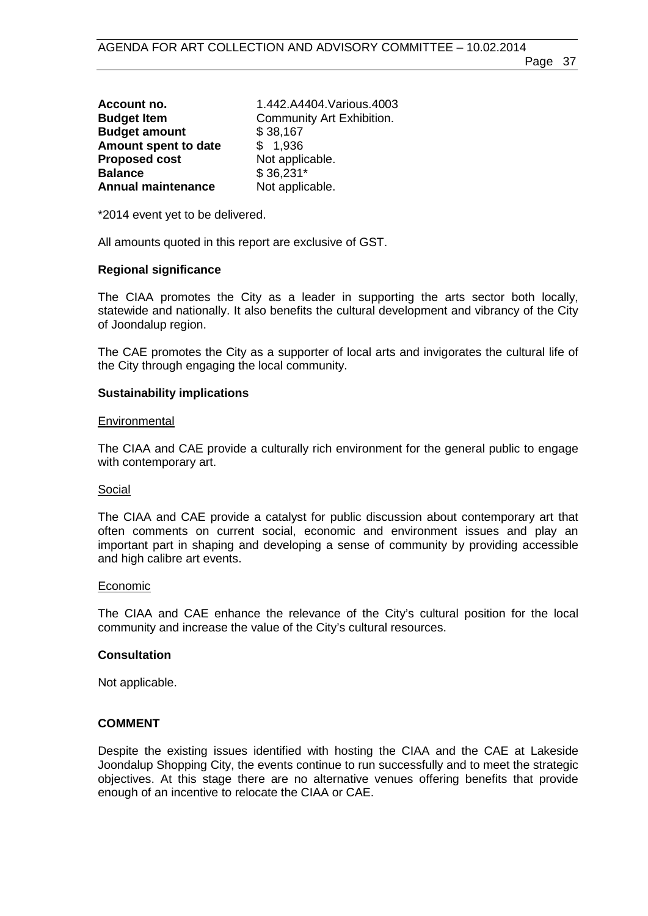| Account no.               | 1.442.A4404.Various.4003  |
|---------------------------|---------------------------|
| <b>Budget Item</b>        | Community Art Exhibition. |
| <b>Budget amount</b>      | \$38,167                  |
| Amount spent to date      | \$1,936                   |
| <b>Proposed cost</b>      | Not applicable.           |
| <b>Balance</b>            | $$36,231*$                |
| <b>Annual maintenance</b> | Not applicable.           |

\*2014 event yet to be delivered.

All amounts quoted in this report are exclusive of GST.

### **Regional significance**

The CIAA promotes the City as a leader in supporting the arts sector both locally, statewide and nationally. It also benefits the cultural development and vibrancy of the City of Joondalup region.

The CAE promotes the City as a supporter of local arts and invigorates the cultural life of the City through engaging the local community.

### **Sustainability implications**

#### **Environmental**

The CIAA and CAE provide a culturally rich environment for the general public to engage with contemporary art.

#### Social

The CIAA and CAE provide a catalyst for public discussion about contemporary art that often comments on current social, economic and environment issues and play an important part in shaping and developing a sense of community by providing accessible and high calibre art events.

#### Economic

The CIAA and CAE enhance the relevance of the City's cultural position for the local community and increase the value of the City's cultural resources.

#### **Consultation**

Not applicable.

#### **COMMENT**

Despite the existing issues identified with hosting the CIAA and the CAE at Lakeside Joondalup Shopping City, the events continue to run successfully and to meet the strategic objectives. At this stage there are no alternative venues offering benefits that provide enough of an incentive to relocate the CIAA or CAE.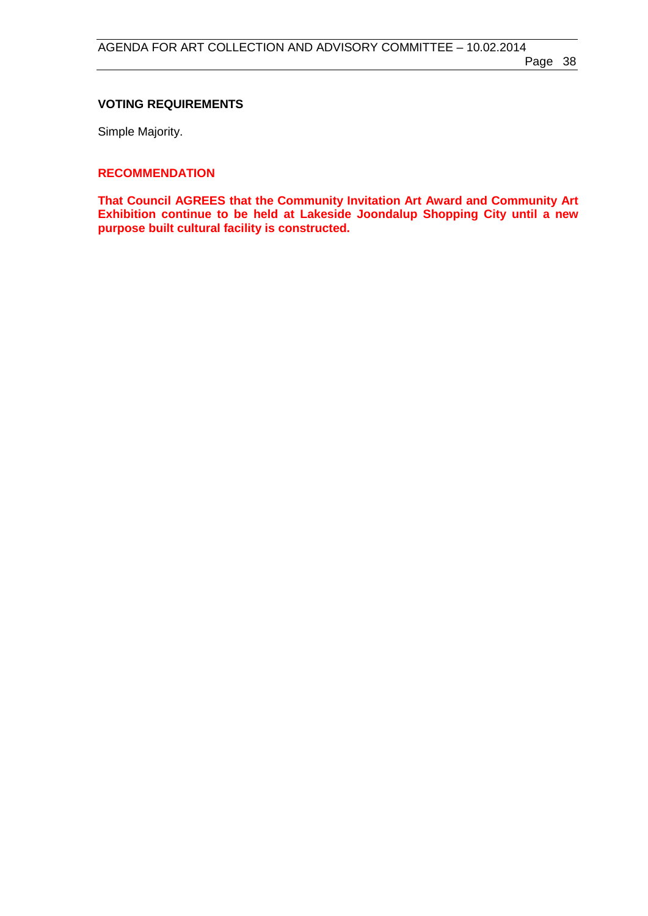## **VOTING REQUIREMENTS**

Simple Majority.

#### **RECOMMENDATION**

**That Council AGREES that the Community Invitation Art Award and Community Art Exhibition continue to be held at Lakeside Joondalup Shopping City until a new purpose built cultural facility is constructed.**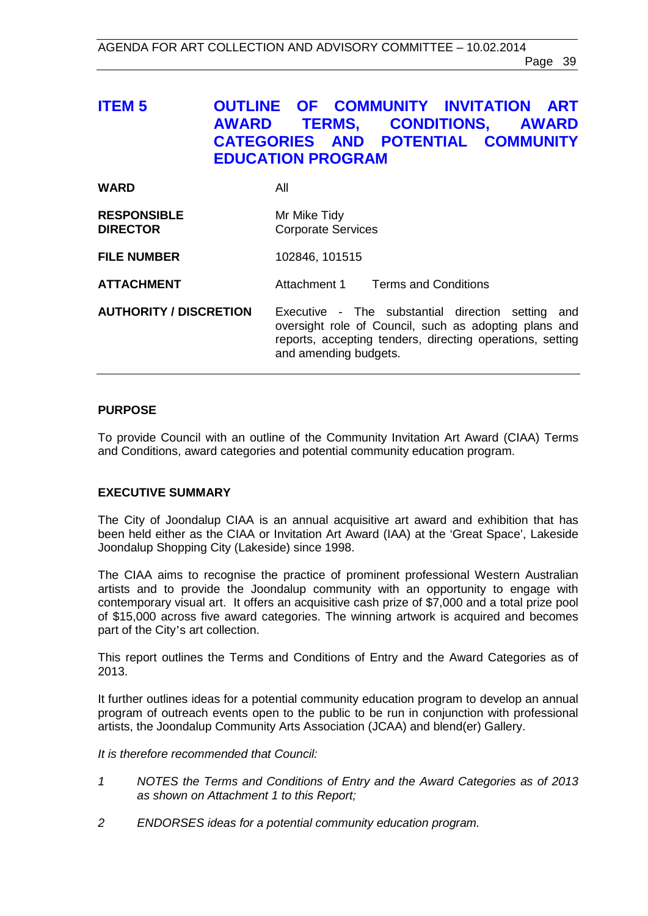## <span id="page-38-0"></span>**ITEM 5 OUTLINE OF COMMUNITY INVITATION ART AWARD TERMS, CONDITIONS, AWARD CATEGORIES AND POTENTIAL COMMUNITY EDUCATION PROGRAM**

| <b>WARD</b>                           | All                                                                                                                                                                                                 |
|---------------------------------------|-----------------------------------------------------------------------------------------------------------------------------------------------------------------------------------------------------|
| <b>RESPONSIBLE</b><br><b>DIRECTOR</b> | Mr Mike Tidy<br><b>Corporate Services</b>                                                                                                                                                           |
| <b>FILE NUMBER</b>                    | 102846, 101515                                                                                                                                                                                      |
| <b>ATTACHMENT</b>                     | Attachment 1 Terms and Conditions                                                                                                                                                                   |
| <b>AUTHORITY / DISCRETION</b>         | Executive - The substantial direction setting<br>and<br>oversight role of Council, such as adopting plans and<br>reports, accepting tenders, directing operations, setting<br>and amending budgets. |

### **PURPOSE**

To provide Council with an outline of the Community Invitation Art Award (CIAA) Terms and Conditions, award categories and potential community education program.

## **EXECUTIVE SUMMARY**

The City of Joondalup CIAA is an annual acquisitive art award and exhibition that has been held either as the CIAA or Invitation Art Award (IAA) at the 'Great Space', Lakeside Joondalup Shopping City (Lakeside) since 1998.

The CIAA aims to recognise the practice of prominent professional Western Australian artists and to provide the Joondalup community with an opportunity to engage with contemporary visual art. It offers an acquisitive cash prize of \$7,000 and a total prize pool of \$15,000 across five award categories. The winning artwork is acquired and becomes part of the City's art collection.

This report outlines the Terms and Conditions of Entry and the Award Categories as of 2013.

It further outlines ideas for a potential community education program to develop an annual program of outreach events open to the public to be run in conjunction with professional artists, the Joondalup Community Arts Association (JCAA) and blend(er) Gallery.

#### *It is therefore recommended that Council:*

- *1 NOTES the Terms and Conditions of Entry and the Award Categories as of 2013 as shown on Attachment 1 to this Report;*
- *2 ENDORSES ideas for a potential community education program.*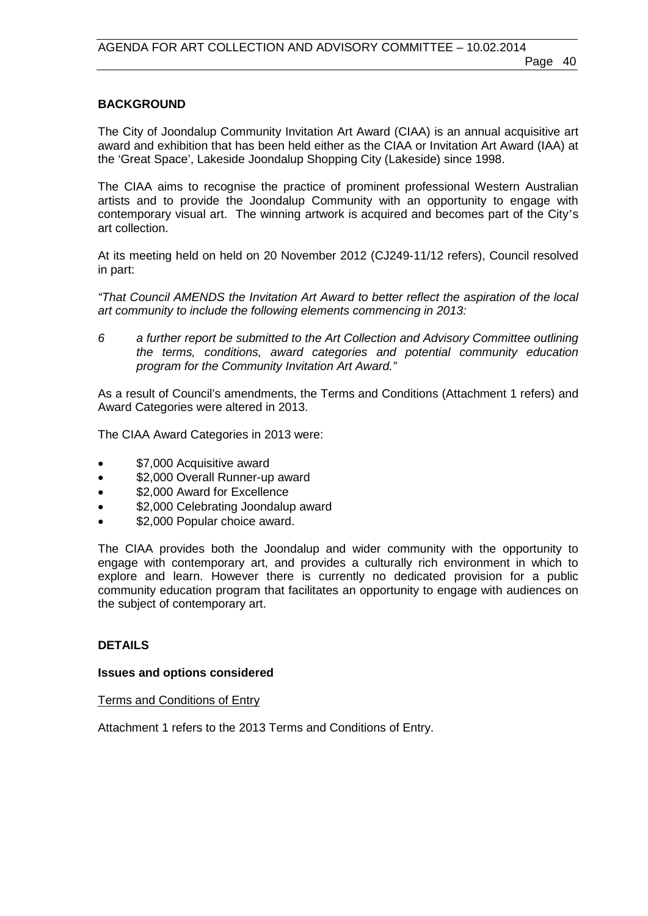## **BACKGROUND**

The City of Joondalup Community Invitation Art Award (CIAA) is an annual acquisitive art award and exhibition that has been held either as the CIAA or Invitation Art Award (IAA) at the 'Great Space', Lakeside Joondalup Shopping City (Lakeside) since 1998.

The CIAA aims to recognise the practice of prominent professional Western Australian artists and to provide the Joondalup Community with an opportunity to engage with contemporary visual art. The winning artwork is acquired and becomes part of the City's art collection.

At its meeting held on held on 20 November 2012 (CJ249-11/12 refers), Council resolved in part:

*"That Council AMENDS the Invitation Art Award to better reflect the aspiration of the local art community to include the following elements commencing in 2013:* 

*6 a further report be submitted to the Art Collection and Advisory Committee outlining the terms, conditions, award categories and potential community education program for the Community Invitation Art Award."*

As a result of Council's amendments, the Terms and Conditions (Attachment 1 refers) and Award Categories were altered in 2013.

The CIAA Award Categories in 2013 were:

- \$7,000 Acquisitive award
- \$2,000 Overall Runner-up award
- \$2,000 Award for Excellence
- \$2,000 Celebrating Joondalup award
- \$2,000 Popular choice award.

The CIAA provides both the Joondalup and wider community with the opportunity to engage with contemporary art, and provides a culturally rich environment in which to explore and learn. However there is currently no dedicated provision for a public community education program that facilitates an opportunity to engage with audiences on the subject of contemporary art.

#### **DETAILS**

#### **Issues and options considered**

Terms and Conditions of Entry

Attachment 1 refers to the 2013 Terms and Conditions of Entry.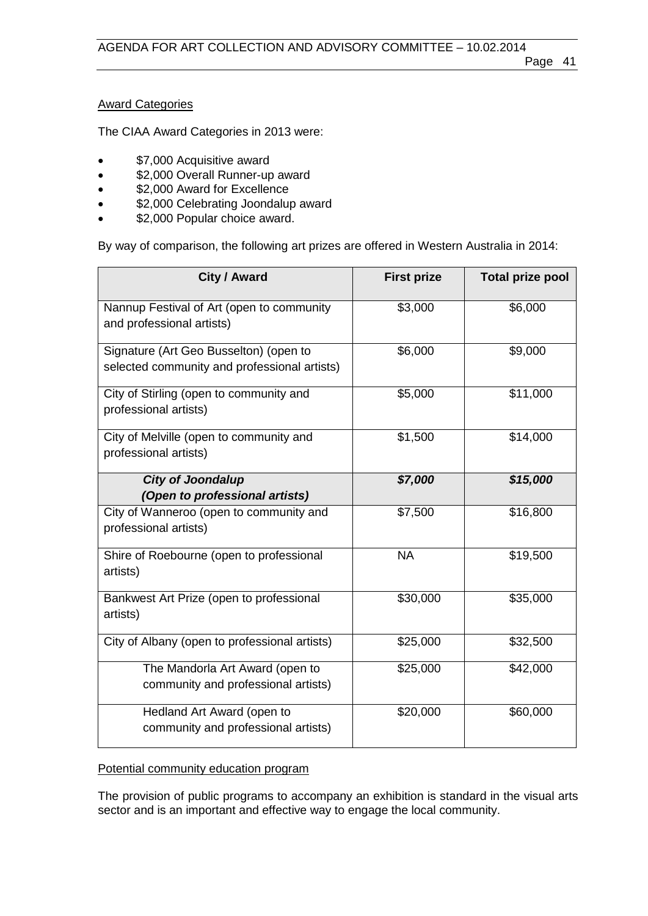## Award Categories

The CIAA Award Categories in 2013 were:

- \$7,000 Acquisitive award
- \$2,000 Overall Runner-up award
- \$2,000 Award for Excellence
- \$2,000 Celebrating Joondalup award
- \$2,000 Popular choice award.

By way of comparison, the following art prizes are offered in Western Australia in 2014:

| City / Award                                                                           | <b>First prize</b> | <b>Total prize pool</b> |
|----------------------------------------------------------------------------------------|--------------------|-------------------------|
| Nannup Festival of Art (open to community<br>and professional artists)                 | \$3,000            | \$6,000                 |
| Signature (Art Geo Busselton) (open to<br>selected community and professional artists) | \$6,000            | \$9,000                 |
| City of Stirling (open to community and<br>professional artists)                       | \$5,000            | \$11,000                |
| City of Melville (open to community and<br>professional artists)                       | \$1,500            | \$14,000                |
| <b>City of Joondalup</b>                                                               | \$7,000            | \$15,000                |
| (Open to professional artists)                                                         |                    |                         |
| City of Wanneroo (open to community and<br>professional artists)                       | \$7,500            | \$16,800                |
| Shire of Roebourne (open to professional<br>artists)                                   | <b>NA</b>          | \$19,500                |
| Bankwest Art Prize (open to professional<br>artists)                                   | \$30,000           | \$35,000                |
| City of Albany (open to professional artists)                                          | \$25,000           | \$32,500                |
| The Mandorla Art Award (open to<br>community and professional artists)                 | \$25,000           | \$42,000                |
| Hedland Art Award (open to<br>community and professional artists)                      | \$20,000           | \$60,000                |

### Potential community education program

The provision of public programs to accompany an exhibition is standard in the visual arts sector and is an important and effective way to engage the local community.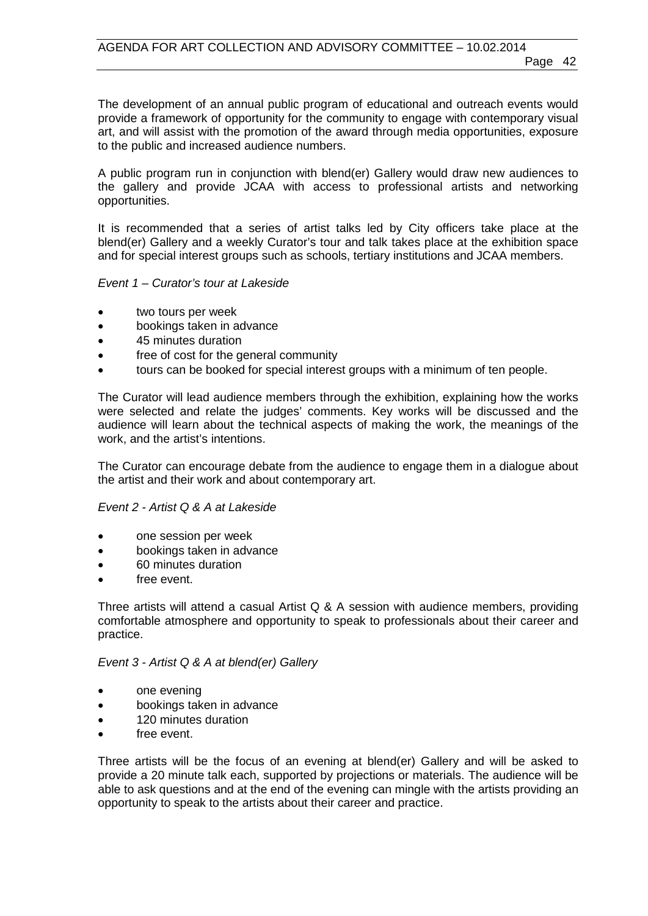The development of an annual public program of educational and outreach events would provide a framework of opportunity for the community to engage with contemporary visual art, and will assist with the promotion of the award through media opportunities, exposure to the public and increased audience numbers.

A public program run in conjunction with blend(er) Gallery would draw new audiences to the gallery and provide JCAA with access to professional artists and networking opportunities.

It is recommended that a series of artist talks led by City officers take place at the blend(er) Gallery and a weekly Curator's tour and talk takes place at the exhibition space and for special interest groups such as schools, tertiary institutions and JCAA members.

### *Event 1 – Curator's tour at Lakeside*

- two tours per week
- bookings taken in advance
- 45 minutes duration
- free of cost for the general community
- tours can be booked for special interest groups with a minimum of ten people.

The Curator will lead audience members through the exhibition, explaining how the works were selected and relate the judges' comments. Key works will be discussed and the audience will learn about the technical aspects of making the work, the meanings of the work, and the artist's intentions.

The Curator can encourage debate from the audience to engage them in a dialogue about the artist and their work and about contemporary art.

### *Event 2 - Artist Q & A at Lakeside*

- one session per week
- bookings taken in advance
- 60 minutes duration
- free event.

Three artists will attend a casual Artist Q & A session with audience members, providing comfortable atmosphere and opportunity to speak to professionals about their career and practice.

#### *Event 3 - Artist Q & A at blend(er) Gallery*

- one evening
- bookings taken in advance
- 120 minutes duration
- free event.

Three artists will be the focus of an evening at blend(er) Gallery and will be asked to provide a 20 minute talk each, supported by projections or materials. The audience will be able to ask questions and at the end of the evening can mingle with the artists providing an opportunity to speak to the artists about their career and practice.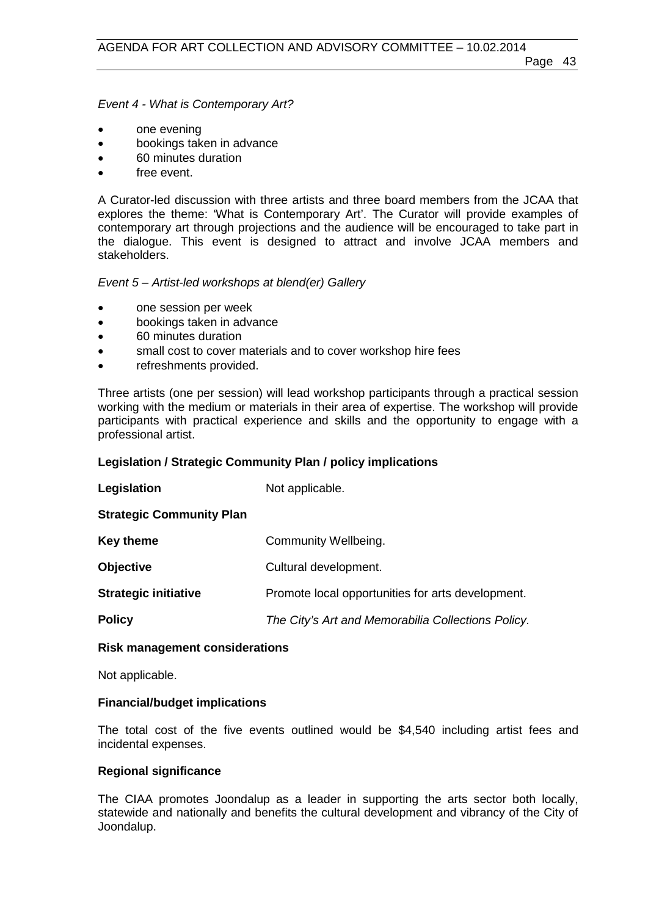*Event 4 - What is Contemporary Art?* 

- one evening
- bookings taken in advance
- 60 minutes duration
- free event.

A Curator-led discussion with three artists and three board members from the JCAA that explores the theme: 'What is Contemporary Art'. The Curator will provide examples of contemporary art through projections and the audience will be encouraged to take part in the dialogue. This event is designed to attract and involve JCAA members and stakeholders.

#### *Event 5 – Artist-led workshops at blend(er) Gallery*

- one session per week
- bookings taken in advance
- 60 minutes duration
- small cost to cover materials and to cover workshop hire fees
- refreshments provided.

Three artists (one per session) will lead workshop participants through a practical session working with the medium or materials in their area of expertise. The workshop will provide participants with practical experience and skills and the opportunity to engage with a professional artist.

#### **Legislation / Strategic Community Plan / policy implications**

| Legislation                     | Not applicable.                                    |
|---------------------------------|----------------------------------------------------|
| <b>Strategic Community Plan</b> |                                                    |
| <b>Key theme</b>                | Community Wellbeing.                               |
| <b>Objective</b>                | Cultural development.                              |
| <b>Strategic initiative</b>     | Promote local opportunities for arts development.  |
| <b>Policy</b>                   | The City's Art and Memorabilia Collections Policy. |

#### **Risk management considerations**

Not applicable.

#### **Financial/budget implications**

The total cost of the five events outlined would be \$4,540 including artist fees and incidental expenses.

#### **Regional significance**

The CIAA promotes Joondalup as a leader in supporting the arts sector both locally, statewide and nationally and benefits the cultural development and vibrancy of the City of Joondalup.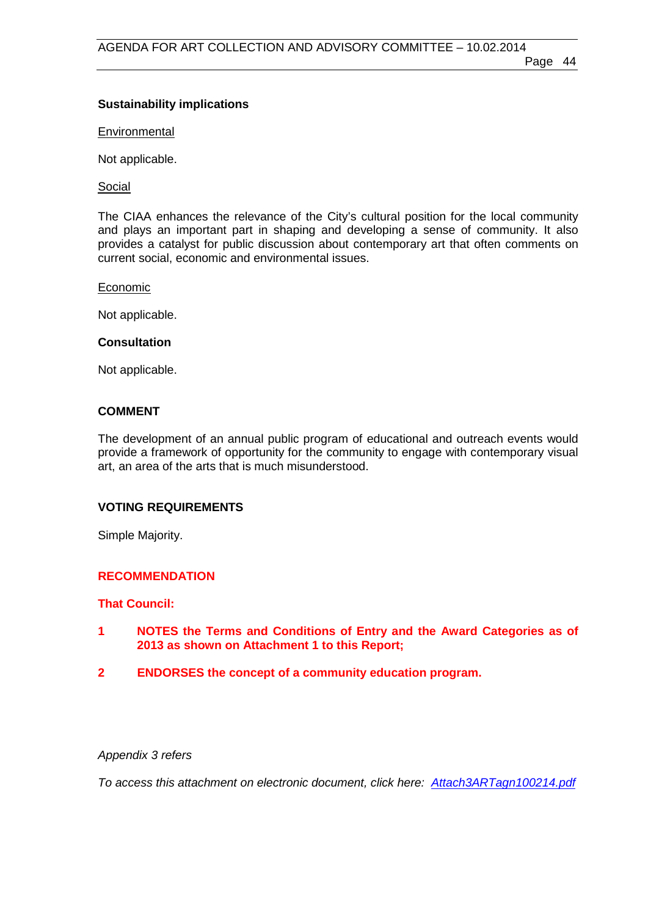## **Sustainability implications**

**Environmental** 

Not applicable.

Social

The CIAA enhances the relevance of the City's cultural position for the local community and plays an important part in shaping and developing a sense of community. It also provides a catalyst for public discussion about contemporary art that often comments on current social, economic and environmental issues.

Economic

Not applicable.

## **Consultation**

Not applicable.

## **COMMENT**

The development of an annual public program of educational and outreach events would provide a framework of opportunity for the community to engage with contemporary visual art, an area of the arts that is much misunderstood.

## **VOTING REQUIREMENTS**

Simple Majority.

## **RECOMMENDATION**

## **That Council:**

- **1 NOTES the Terms and Conditions of Entry and the Award Categories as of 2013 as shown on Attachment 1 to this Report;**
- **2 ENDORSES the concept of a community education program.**

#### *Appendix 3 refers*

*To access this attachment on electronic document, click he[re: Attach3ARTagn100214.pdf](http://www.joondalup.wa.gov.au/files/committees/ACAC/2014/Attach3ARTagn100214.pdf)*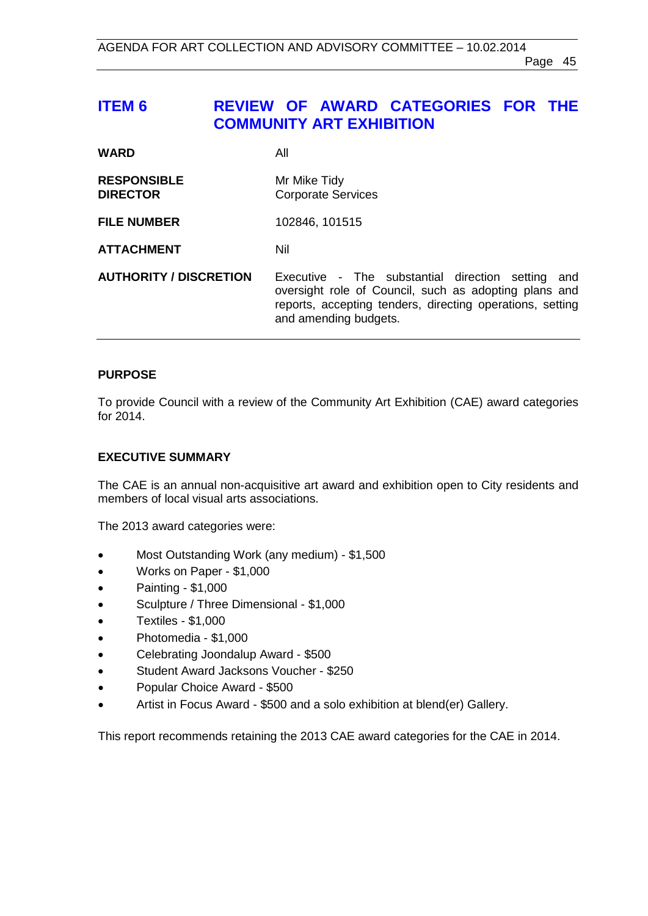## <span id="page-44-0"></span>**ITEM 6 REVIEW OF AWARD CATEGORIES FOR THE COMMUNITY ART EXHIBITION**

| <b>WARD</b>                           | All                                                                                                                                                                                              |
|---------------------------------------|--------------------------------------------------------------------------------------------------------------------------------------------------------------------------------------------------|
| <b>RESPONSIBLE</b><br><b>DIRECTOR</b> | Mr Mike Tidy<br><b>Corporate Services</b>                                                                                                                                                        |
| <b>FILE NUMBER</b>                    | 102846, 101515                                                                                                                                                                                   |
| <b>ATTACHMENT</b>                     | Nil                                                                                                                                                                                              |
| <b>AUTHORITY / DISCRETION</b>         | Executive - The substantial direction setting and<br>oversight role of Council, such as adopting plans and<br>reports, accepting tenders, directing operations, setting<br>and amending budgets. |

## **PURPOSE**

To provide Council with a review of the Community Art Exhibition (CAE) award categories for 2014.

## **EXECUTIVE SUMMARY**

The CAE is an annual non-acquisitive art award and exhibition open to City residents and members of local visual arts associations.

The 2013 award categories were:

- Most Outstanding Work (any medium) \$1,500
- Works on Paper \$1,000
- Painting \$1,000
- Sculpture / Three Dimensional \$1,000
- Textiles \$1,000
- Photomedia \$1,000
- Celebrating Joondalup Award \$500
- Student Award Jacksons Voucher \$250
- Popular Choice Award \$500
- Artist in Focus Award \$500 and a solo exhibition at blend(er) Gallery.

This report recommends retaining the 2013 CAE award categories for the CAE in 2014.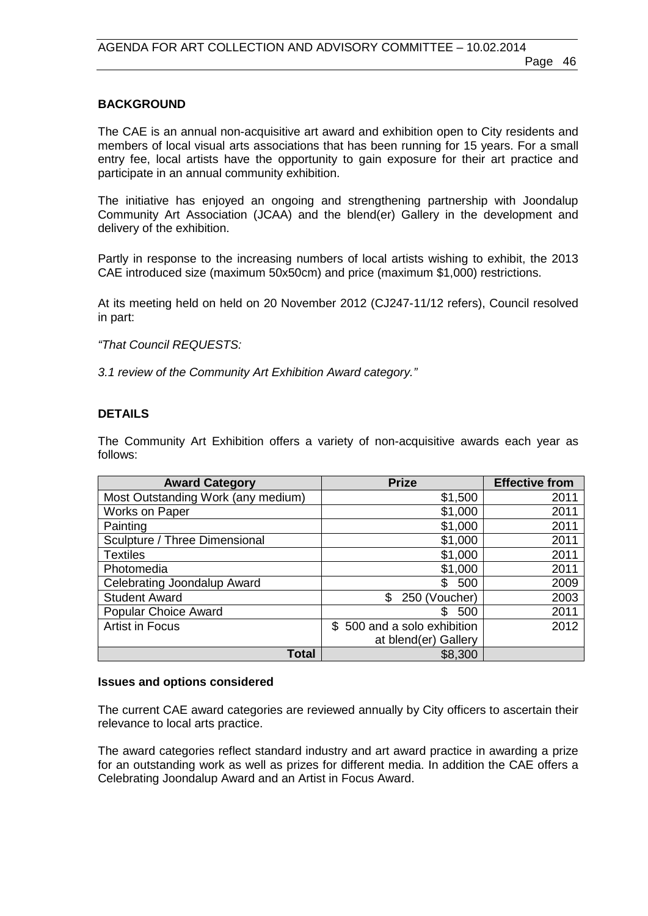### **BACKGROUND**

The CAE is an annual non-acquisitive art award and exhibition open to City residents and members of local visual arts associations that has been running for 15 years. For a small entry fee, local artists have the opportunity to gain exposure for their art practice and participate in an annual community exhibition.

The initiative has enjoyed an ongoing and strengthening partnership with Joondalup Community Art Association (JCAA) and the blend(er) Gallery in the development and delivery of the exhibition.

Partly in response to the increasing numbers of local artists wishing to exhibit, the 2013 CAE introduced size (maximum 50x50cm) and price (maximum \$1,000) restrictions.

At its meeting held on held on 20 November 2012 (CJ247-11/12 refers), Council resolved in part:

*"That Council REQUESTS:*

*3.1 review of the Community Art Exhibition Award category."*

### **DETAILS**

The Community Art Exhibition offers a variety of non-acquisitive awards each year as follows:

| <b>Award Category</b>              | <b>Prize</b>                | <b>Effective from</b> |
|------------------------------------|-----------------------------|-----------------------|
| Most Outstanding Work (any medium) | \$1,500                     | 2011                  |
| <b>Works on Paper</b>              | \$1,000                     | 2011                  |
| Painting                           | \$1,000                     | 2011                  |
| Sculpture / Three Dimensional      | \$1,000                     | 2011                  |
| <b>Textiles</b>                    | \$1,000                     | 2011                  |
| Photomedia                         | \$1,000                     | 2011                  |
| Celebrating Joondalup Award        | \$<br>500                   | 2009                  |
| <b>Student Award</b>               | \$<br>250 (Voucher)         | 2003                  |
| <b>Popular Choice Award</b>        | \$.<br>500                  | 2011                  |
| <b>Artist in Focus</b>             | \$500 and a solo exhibition | 2012                  |
|                                    | at blend(er) Gallery        |                       |
| <b>Total</b>                       | \$8,300                     |                       |

#### **Issues and options considered**

The current CAE award categories are reviewed annually by City officers to ascertain their relevance to local arts practice.

The award categories reflect standard industry and art award practice in awarding a prize for an outstanding work as well as prizes for different media. In addition the CAE offers a Celebrating Joondalup Award and an Artist in Focus Award.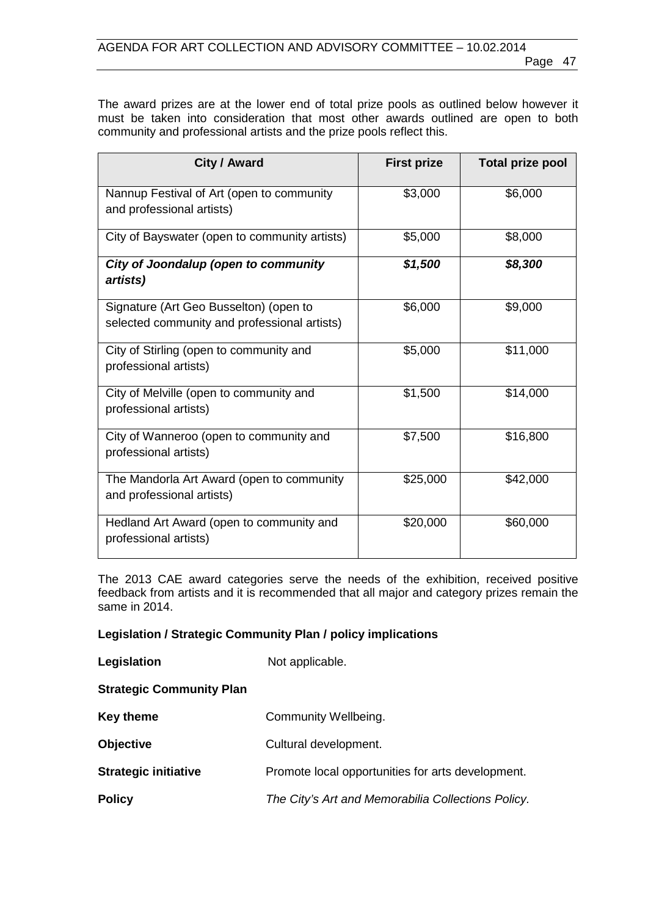The award prizes are at the lower end of total prize pools as outlined below however it must be taken into consideration that most other awards outlined are open to both community and professional artists and the prize pools reflect this.

| City / Award                                                                           | <b>First prize</b> | <b>Total prize pool</b> |
|----------------------------------------------------------------------------------------|--------------------|-------------------------|
| Nannup Festival of Art (open to community<br>and professional artists)                 | \$3,000            | \$6,000                 |
| City of Bayswater (open to community artists)                                          | \$5,000            | \$8,000                 |
| City of Joondalup (open to community<br>artists)                                       | \$1,500            | \$8,300                 |
| Signature (Art Geo Busselton) (open to<br>selected community and professional artists) | \$6,000            | \$9,000                 |
| City of Stirling (open to community and<br>professional artists)                       | \$5,000            | \$11,000                |
| City of Melville (open to community and<br>professional artists)                       | \$1,500            | \$14,000                |
| City of Wanneroo (open to community and<br>professional artists)                       | \$7,500            | \$16,800                |
| The Mandorla Art Award (open to community<br>and professional artists)                 | \$25,000           | \$42,000                |
| Hedland Art Award (open to community and<br>professional artists)                      | \$20,000           | \$60,000                |

The 2013 CAE award categories serve the needs of the exhibition, received positive feedback from artists and it is recommended that all major and category prizes remain the same in 2014.

## **Legislation / Strategic Community Plan / policy implications**

| Legislation                     | Not applicable.                                    |
|---------------------------------|----------------------------------------------------|
| <b>Strategic Community Plan</b> |                                                    |
| <b>Key theme</b>                | Community Wellbeing.                               |
| <b>Objective</b>                | Cultural development.                              |
| <b>Strategic initiative</b>     | Promote local opportunities for arts development.  |
| <b>Policy</b>                   | The City's Art and Memorabilia Collections Policy. |
|                                 |                                                    |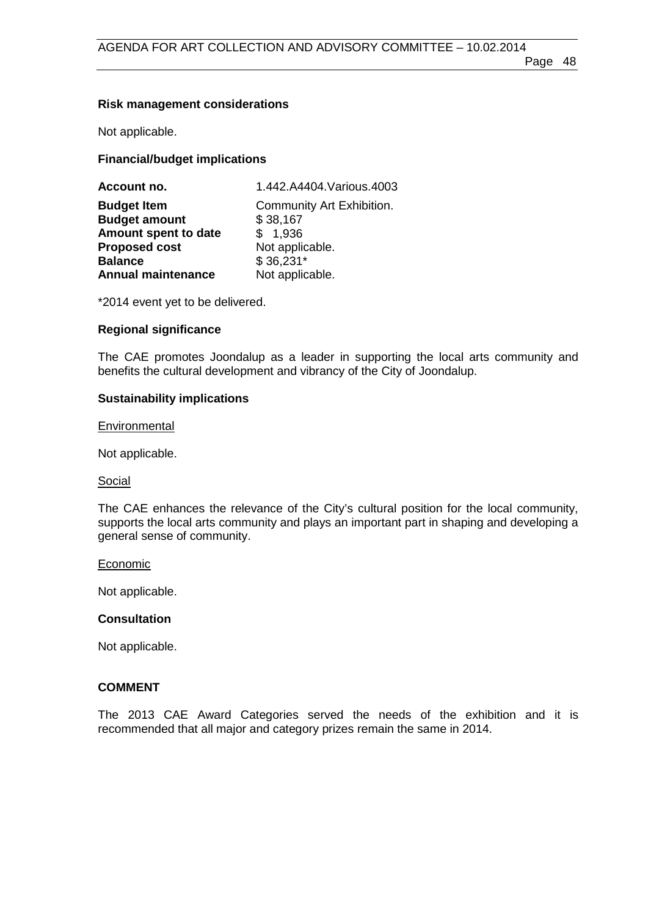## **Risk management considerations**

Not applicable.

## **Financial/budget implications**

| 1.442.A4404. Various. 4003            |  |
|---------------------------------------|--|
| Community Art Exhibition.<br>\$38,167 |  |
| \$1,936                               |  |
| Not applicable.                       |  |
| $$36,231*$                            |  |
| Not applicable.                       |  |
|                                       |  |

\*2014 event yet to be delivered.

## **Regional significance**

The CAE promotes Joondalup as a leader in supporting the local arts community and benefits the cultural development and vibrancy of the City of Joondalup.

## **Sustainability implications**

## **Environmental**

Not applicable.

## Social

The CAE enhances the relevance of the City's cultural position for the local community, supports the local arts community and plays an important part in shaping and developing a general sense of community.

## Economic

Not applicable.

## **Consultation**

Not applicable.

## **COMMENT**

The 2013 CAE Award Categories served the needs of the exhibition and it is recommended that all major and category prizes remain the same in 2014.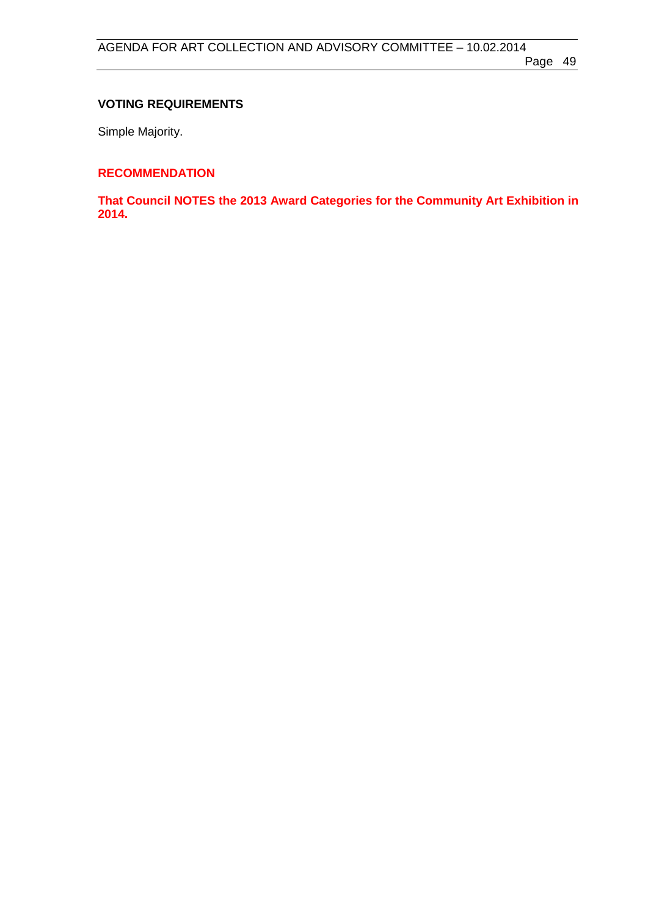## **VOTING REQUIREMENTS**

Simple Majority.

## **RECOMMENDATION**

**That Council NOTES the 2013 Award Categories for the Community Art Exhibition in 2014.**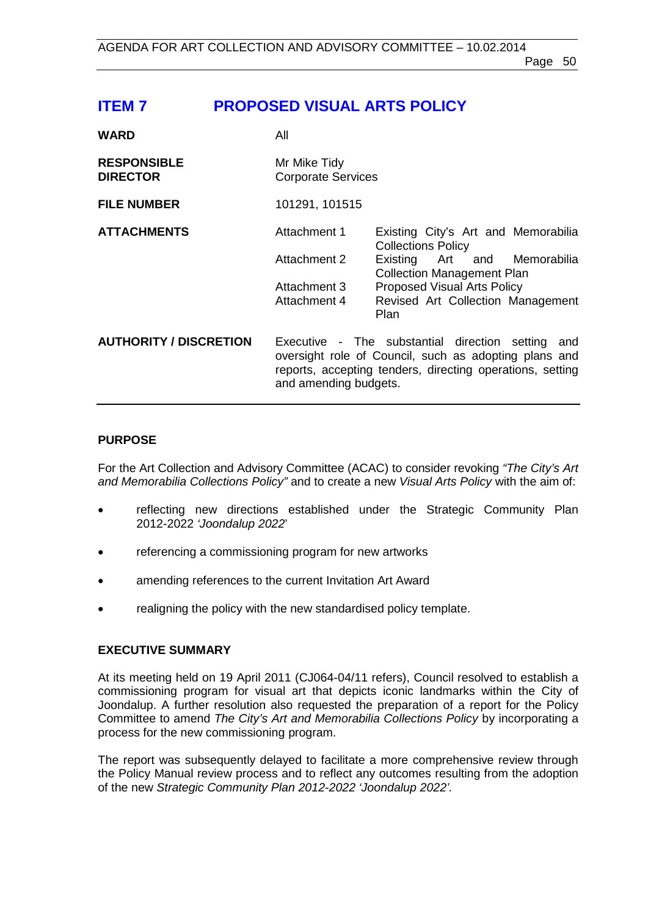# <span id="page-49-0"></span>**ITEM 7 PROPOSED VISUAL ARTS POLICY**

| <b>WARD</b>                           | All                                       |                                                                                                                                                                            |
|---------------------------------------|-------------------------------------------|----------------------------------------------------------------------------------------------------------------------------------------------------------------------------|
| <b>RESPONSIBLE</b><br><b>DIRECTOR</b> | Mr Mike Tidy<br><b>Corporate Services</b> |                                                                                                                                                                            |
| <b>FILE NUMBER</b>                    | 101291, 101515                            |                                                                                                                                                                            |
| <b>ATTACHMENTS</b>                    | Attachment 1                              | Existing City's Art and Memorabilia<br><b>Collections Policy</b>                                                                                                           |
|                                       | Attachment 2                              | Existing Art and Memorabilia<br><b>Collection Management Plan</b>                                                                                                          |
|                                       | Attachment 3                              | <b>Proposed Visual Arts Policy</b>                                                                                                                                         |
|                                       | Attachment 4                              | Revised Art Collection Management<br>Plan                                                                                                                                  |
| <b>AUTHORITY / DISCRETION</b>         | and amending budgets.                     | Executive - The substantial direction setting<br>and<br>oversight role of Council, such as adopting plans and<br>reports, accepting tenders, directing operations, setting |

## **PURPOSE**

For the Art Collection and Advisory Committee (ACAC) to consider revoking *"The City's Art and Memorabilia Collections Policy"* and to create a new *Visual Arts Policy* with the aim of:

- reflecting new directions established under the Strategic Community Plan 2012-2022 *'Joondalup 2022*'
- referencing a commissioning program for new artworks
- amending references to the current Invitation Art Award
- realigning the policy with the new standardised policy template.

## **EXECUTIVE SUMMARY**

At its meeting held on 19 April 2011 (CJ064-04/11 refers), Council resolved to establish a commissioning program for visual art that depicts iconic landmarks within the City of Joondalup. A further resolution also requested the preparation of a report for the Policy Committee to amend *The City's Art and Memorabilia Collections Policy* by incorporating a process for the new commissioning program.

The report was subsequently delayed to facilitate a more comprehensive review through the Policy Manual review process and to reflect any outcomes resulting from the adoption of the new *Strategic Community Plan 2012-2022 'Joondalup 2022'.*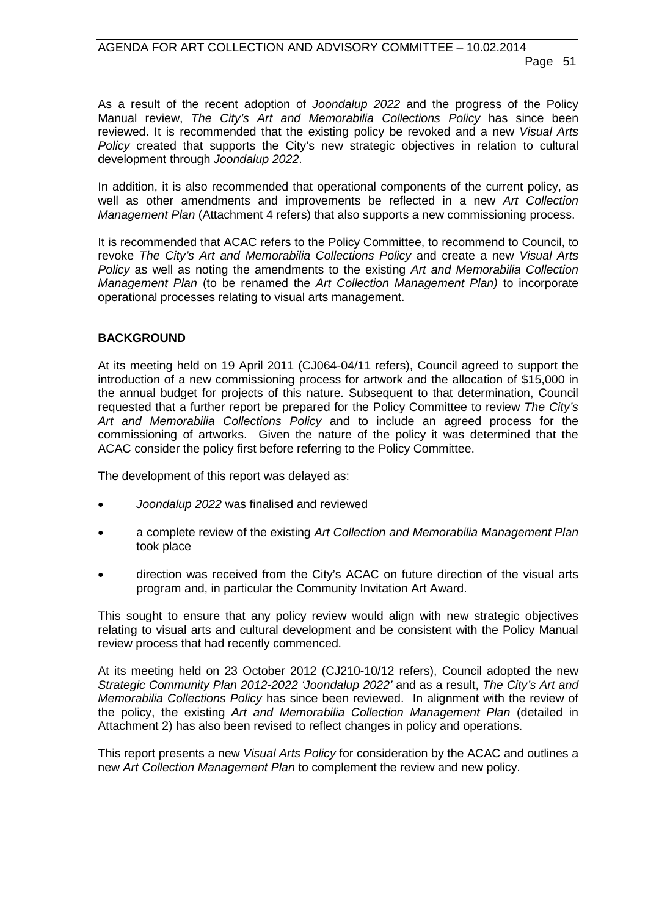As a result of the recent adoption of *Joondalup 2022* and the progress of the Policy Manual review, *The City's Art and Memorabilia Collections Policy* has since been reviewed. It is recommended that the existing policy be revoked and a new *Visual Arts Policy* created that supports the City's new strategic objectives in relation to cultural development through *Joondalup 2022*.

In addition, it is also recommended that operational components of the current policy, as well as other amendments and improvements be reflected in a new *Art Collection Management Plan* (Attachment 4 refers) that also supports a new commissioning process.

It is recommended that ACAC refers to the Policy Committee, to recommend to Council, to revoke *The City's Art and Memorabilia Collections Policy* and create a new *Visual Arts Policy* as well as noting the amendments to the existing *Art and Memorabilia Collection Management Plan* (to be renamed the *Art Collection Management Plan)* to incorporate operational processes relating to visual arts management.

### **BACKGROUND**

At its meeting held on 19 April 2011 (CJ064-04/11 refers), Council agreed to support the introduction of a new commissioning process for artwork and the allocation of \$15,000 in the annual budget for projects of this nature. Subsequent to that determination, Council requested that a further report be prepared for the Policy Committee to review *The City's Art and Memorabilia Collections Policy* and to include an agreed process for the commissioning of artworks. Given the nature of the policy it was determined that the ACAC consider the policy first before referring to the Policy Committee.

The development of this report was delayed as:

- *Joondalup 2022* was finalised and reviewed
- a complete review of the existing *Art Collection and Memorabilia Management Plan* took place
- direction was received from the City's ACAC on future direction of the visual arts program and, in particular the Community Invitation Art Award.

This sought to ensure that any policy review would align with new strategic objectives relating to visual arts and cultural development and be consistent with the Policy Manual review process that had recently commenced.

At its meeting held on 23 October 2012 (CJ210-10/12 refers), Council adopted the new *Strategic Community Plan 2012-2022 'Joondalup 2022'* and as a result, *The City's Art and Memorabilia Collections Policy* has since been reviewed. In alignment with the review of the policy, the existing *Art and Memorabilia Collection Management Plan* (detailed in Attachment 2) has also been revised to reflect changes in policy and operations.

This report presents a new *Visual Arts Policy* for consideration by the ACAC and outlines a new *Art Collection Management Plan* to complement the review and new policy.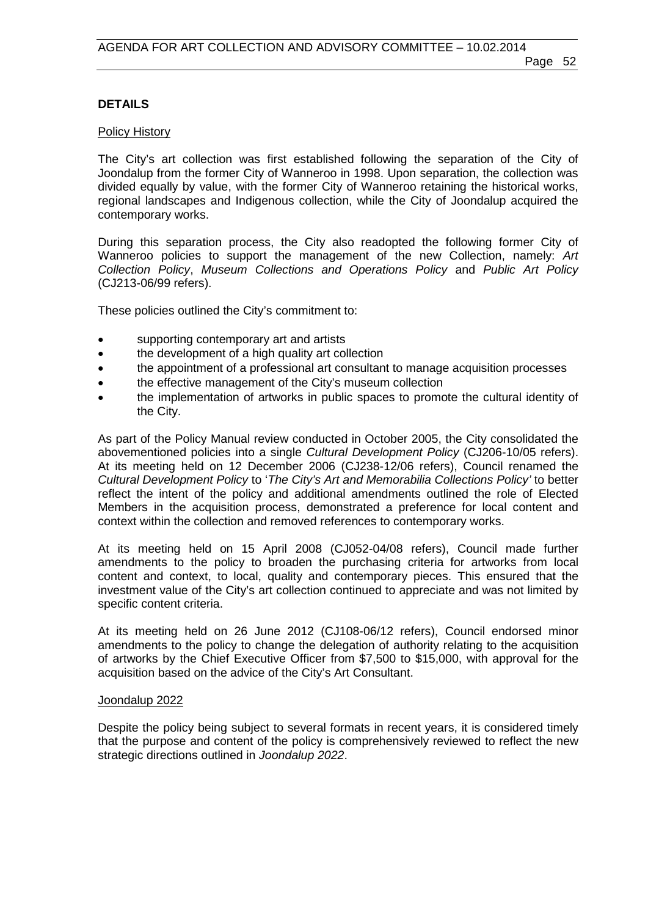### **DETAILS**

#### Policy History

The City's art collection was first established following the separation of the City of Joondalup from the former City of Wanneroo in 1998. Upon separation, the collection was divided equally by value, with the former City of Wanneroo retaining the historical works, regional landscapes and Indigenous collection, while the City of Joondalup acquired the contemporary works.

During this separation process, the City also readopted the following former City of Wanneroo policies to support the management of the new Collection, namely: *Art Collection Policy*, *Museum Collections and Operations Policy* and *Public Art Policy*  (CJ213-06/99 refers).

These policies outlined the City's commitment to:

- supporting contemporary art and artists
- the development of a high quality art collection
- the appointment of a professional art consultant to manage acquisition processes
- the effective management of the City's museum collection
- the implementation of artworks in public spaces to promote the cultural identity of the City.

As part of the Policy Manual review conducted in October 2005, the City consolidated the abovementioned policies into a single *Cultural Development Policy* (CJ206-10/05 refers). At its meeting held on 12 December 2006 (CJ238-12/06 refers), Council renamed the *Cultural Development Policy* to '*The City's Art and Memorabilia Collections Policy'* to better reflect the intent of the policy and additional amendments outlined the role of Elected Members in the acquisition process, demonstrated a preference for local content and context within the collection and removed references to contemporary works.

At its meeting held on 15 April 2008 (CJ052-04/08 refers), Council made further amendments to the policy to broaden the purchasing criteria for artworks from local content and context, to local, quality and contemporary pieces. This ensured that the investment value of the City's art collection continued to appreciate and was not limited by specific content criteria.

At its meeting held on 26 June 2012 (CJ108-06/12 refers), Council endorsed minor amendments to the policy to change the delegation of authority relating to the acquisition of artworks by the Chief Executive Officer from \$7,500 to \$15,000, with approval for the acquisition based on the advice of the City's Art Consultant.

#### Joondalup 2022

Despite the policy being subject to several formats in recent years, it is considered timely that the purpose and content of the policy is comprehensively reviewed to reflect the new strategic directions outlined in *Joondalup 2022*.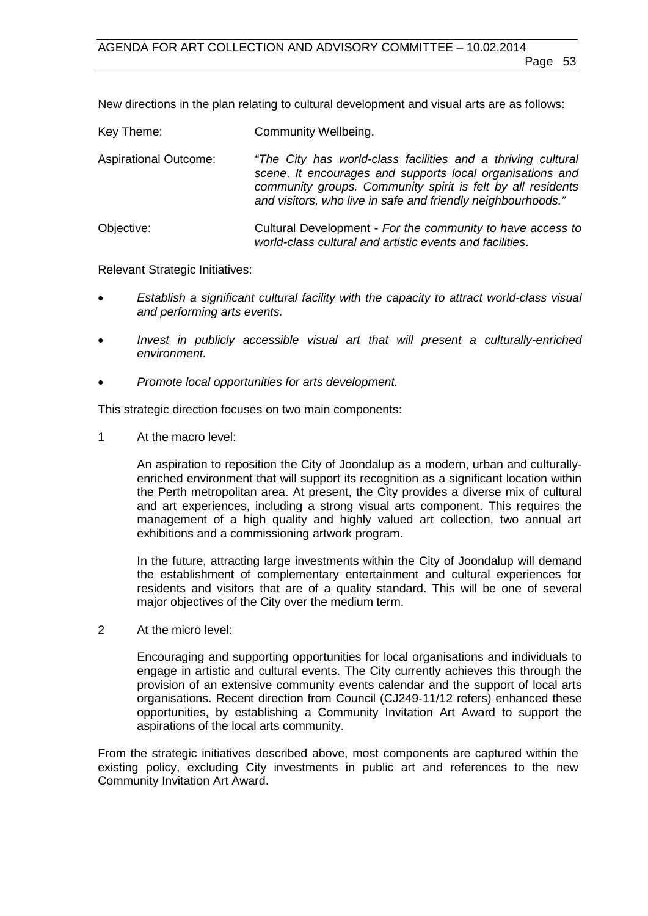New directions in the plan relating to cultural development and visual arts are as follows:

| Key Theme:                   | Community Wellbeing.                                                                                                                                                                                                                                     |  |
|------------------------------|----------------------------------------------------------------------------------------------------------------------------------------------------------------------------------------------------------------------------------------------------------|--|
| <b>Aspirational Outcome:</b> | "The City has world-class facilities and a thriving cultural<br>scene. It encourages and supports local organisations and<br>community groups. Community spirit is felt by all residents<br>and visitors, who live in safe and friendly neighbourhoods." |  |
| Objective:                   | Cultural Development - For the community to have access to<br>world-class cultural and artistic events and facilities.                                                                                                                                   |  |

Relevant Strategic Initiatives:

- *Establish a significant cultural facility with the capacity to attract world-class visual and performing arts events.*
- *Invest in publicly accessible visual art that will present a culturally-enriched environment.*
- *Promote local opportunities for arts development.*

This strategic direction focuses on two main components:

1 At the macro level:

An aspiration to reposition the City of Joondalup as a modern, urban and culturallyenriched environment that will support its recognition as a significant location within the Perth metropolitan area. At present, the City provides a diverse mix of cultural and art experiences, including a strong visual arts component. This requires the management of a high quality and highly valued art collection, two annual art exhibitions and a commissioning artwork program.

In the future, attracting large investments within the City of Joondalup will demand the establishment of complementary entertainment and cultural experiences for residents and visitors that are of a quality standard. This will be one of several major objectives of the City over the medium term.

2 At the micro level:

Encouraging and supporting opportunities for local organisations and individuals to engage in artistic and cultural events. The City currently achieves this through the provision of an extensive community events calendar and the support of local arts organisations. Recent direction from Council (CJ249-11/12 refers) enhanced these opportunities, by establishing a Community Invitation Art Award to support the aspirations of the local arts community.

From the strategic initiatives described above, most components are captured within the existing policy, excluding City investments in public art and references to the new Community Invitation Art Award.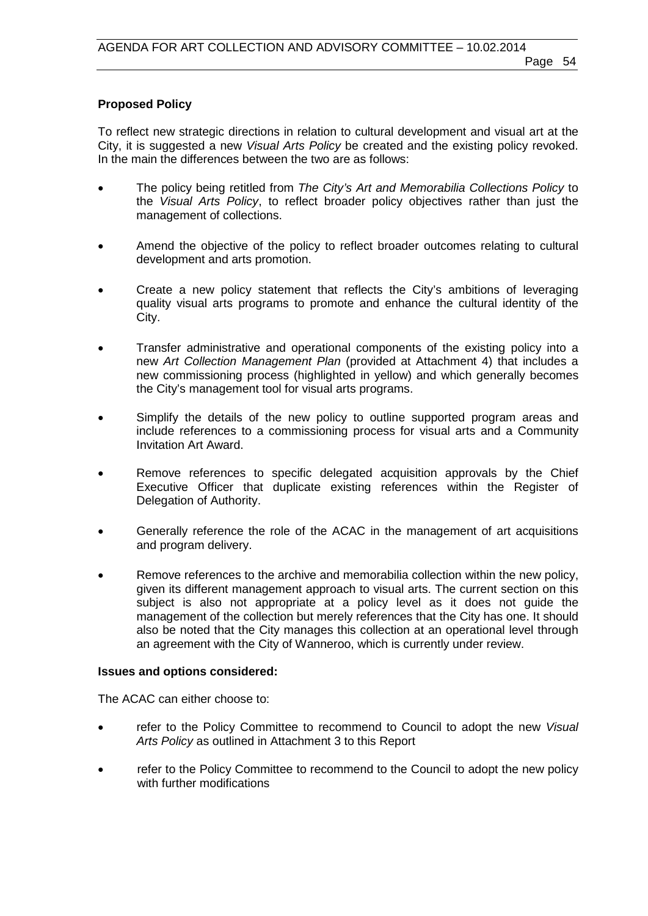## **Proposed Policy**

To reflect new strategic directions in relation to cultural development and visual art at the City, it is suggested a new *Visual Arts Policy* be created and the existing policy revoked. In the main the differences between the two are as follows:

- The policy being retitled from *The City's Art and Memorabilia Collections Policy* to the *Visual Arts Policy*, to reflect broader policy objectives rather than just the management of collections.
- Amend the objective of the policy to reflect broader outcomes relating to cultural development and arts promotion.
- Create a new policy statement that reflects the City's ambitions of leveraging quality visual arts programs to promote and enhance the cultural identity of the City.
- Transfer administrative and operational components of the existing policy into a new *Art Collection Management Plan* (provided at Attachment 4) that includes a new commissioning process (highlighted in yellow) and which generally becomes the City's management tool for visual arts programs.
- Simplify the details of the new policy to outline supported program areas and include references to a commissioning process for visual arts and a Community Invitation Art Award.
- Remove references to specific delegated acquisition approvals by the Chief Executive Officer that duplicate existing references within the Register of Delegation of Authority.
- Generally reference the role of the ACAC in the management of art acquisitions and program delivery.
- Remove references to the archive and memorabilia collection within the new policy, given its different management approach to visual arts. The current section on this subject is also not appropriate at a policy level as it does not guide the management of the collection but merely references that the City has one. It should also be noted that the City manages this collection at an operational level through an agreement with the City of Wanneroo, which is currently under review.

#### **Issues and options considered:**

The ACAC can either choose to:

- refer to the Policy Committee to recommend to Council to adopt the new *Visual Arts Policy* as outlined in Attachment 3 to this Report
- refer to the Policy Committee to recommend to the Council to adopt the new policy with further modifications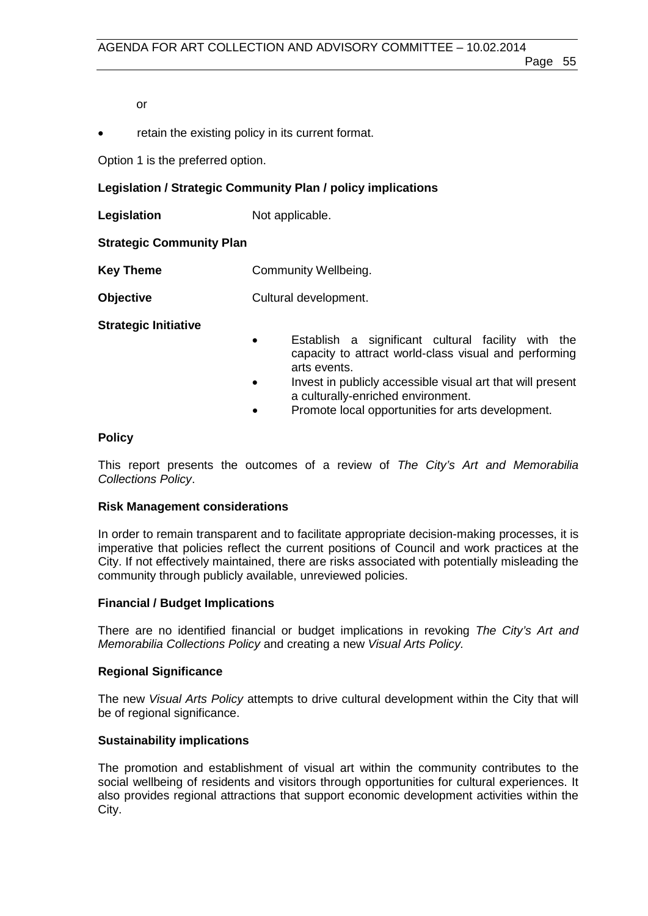or

• retain the existing policy in its current format.

Option 1 is the preferred option.

## **Legislation / Strategic Community Plan / policy implications**

**Legislation** Not applicable.

### **Strategic Community Plan**

**Key Theme Community Wellbeing.** 

**Objective** Cultural development.

**Strategic Initiative**

- Establish a significant cultural facility with the capacity to attract world-class visual and performing arts events.
- Invest in publicly accessible visual art that will present a culturally-enriched environment.
- Promote local opportunities for arts development.

### **Policy**

This report presents the outcomes of a review of *The City's Art and Memorabilia Collections Policy*.

#### **Risk Management considerations**

In order to remain transparent and to facilitate appropriate decision-making processes, it is imperative that policies reflect the current positions of Council and work practices at the City. If not effectively maintained, there are risks associated with potentially misleading the community through publicly available, unreviewed policies.

#### **Financial / Budget Implications**

There are no identified financial or budget implications in revoking *The City's Art and Memorabilia Collections Policy* and creating a new *Visual Arts Policy.*

## **Regional Significance**

The new *Visual Arts Policy* attempts to drive cultural development within the City that will be of regional significance.

## **Sustainability implications**

The promotion and establishment of visual art within the community contributes to the social wellbeing of residents and visitors through opportunities for cultural experiences. It also provides regional attractions that support economic development activities within the City.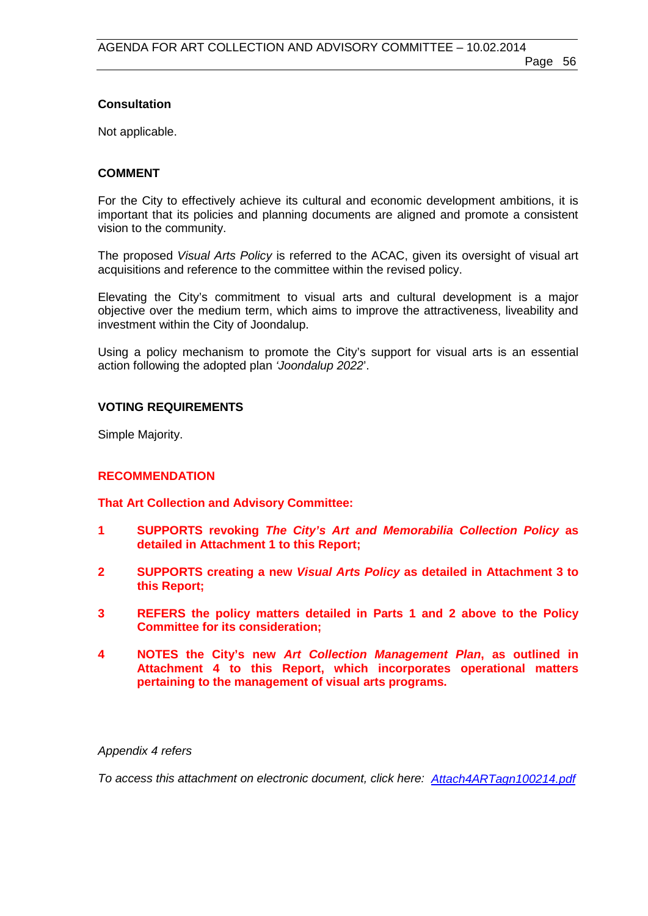## **Consultation**

Not applicable.

## **COMMENT**

For the City to effectively achieve its cultural and economic development ambitions, it is important that its policies and planning documents are aligned and promote a consistent vision to the community.

The proposed *Visual Arts Policy* is referred to the ACAC, given its oversight of visual art acquisitions and reference to the committee within the revised policy.

Elevating the City's commitment to visual arts and cultural development is a major objective over the medium term, which aims to improve the attractiveness, liveability and investment within the City of Joondalup.

Using a policy mechanism to promote the City's support for visual arts is an essential action following the adopted plan *'Joondalup 2022*'.

## **VOTING REQUIREMENTS**

Simple Majority.

## **RECOMMENDATION**

**That Art Collection and Advisory Committee:**

- **1 SUPPORTS revoking** *The City's Art and Memorabilia Collection Policy* **as detailed in Attachment 1 to this Report;**
- **2 SUPPORTS creating a new** *Visual Arts Policy* **as detailed in Attachment 3 to this Report;**
- **3 REFERS the policy matters detailed in Parts 1 and 2 above to the Policy Committee for its consideration;**
- **4 NOTES the City's new** *Art Collection Management Plan***, as outlined in Attachment 4 to this Report, which incorporates operational matters pertaining to the management of visual arts programs.**

## *Appendix 4 refers*

*To access this attachment on electronic document, click her[e: Attach4ARTagn100214.pdf](http://www.joondalup.wa.gov.au/files/committees/ACAC/2014/Attach4ARTagn100214.pdf)*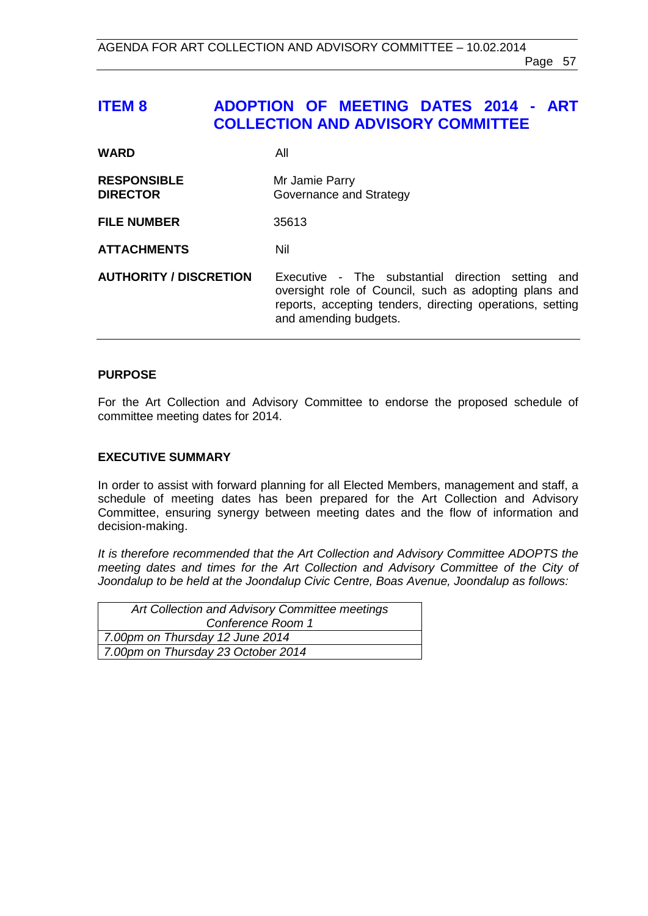## <span id="page-56-0"></span>**ITEM 8 ADOPTION OF MEETING DATES 2014 - ART COLLECTION AND ADVISORY COMMITTEE**

| <b>WARD</b>                           | All                                                                                                                                                                                                 |
|---------------------------------------|-----------------------------------------------------------------------------------------------------------------------------------------------------------------------------------------------------|
| <b>RESPONSIBLE</b><br><b>DIRECTOR</b> | Mr Jamie Parry<br>Governance and Strategy                                                                                                                                                           |
| <b>FILE NUMBER</b>                    | 35613                                                                                                                                                                                               |
| <b>ATTACHMENTS</b>                    | Nil                                                                                                                                                                                                 |
| <b>AUTHORITY / DISCRETION</b>         | Executive - The substantial direction setting<br>and<br>oversight role of Council, such as adopting plans and<br>reports, accepting tenders, directing operations, setting<br>and amending budgets. |

## **PURPOSE**

For the Art Collection and Advisory Committee to endorse the proposed schedule of committee meeting dates for 2014.

### **EXECUTIVE SUMMARY**

In order to assist with forward planning for all Elected Members, management and staff, a schedule of meeting dates has been prepared for the Art Collection and Advisory Committee, ensuring synergy between meeting dates and the flow of information and decision-making.

*It is therefore recommended that the Art Collection and Advisory Committee ADOPTS the meeting dates and times for the Art Collection and Advisory Committee of the City of Joondalup to be held at the Joondalup Civic Centre, Boas Avenue, Joondalup as follows:*

| Art Collection and Advisory Committee meetings |  |
|------------------------------------------------|--|
| Conference Room 1                              |  |
| 7.00pm on Thursday 12 June 2014                |  |
| 7.00pm on Thursday 23 October 2014             |  |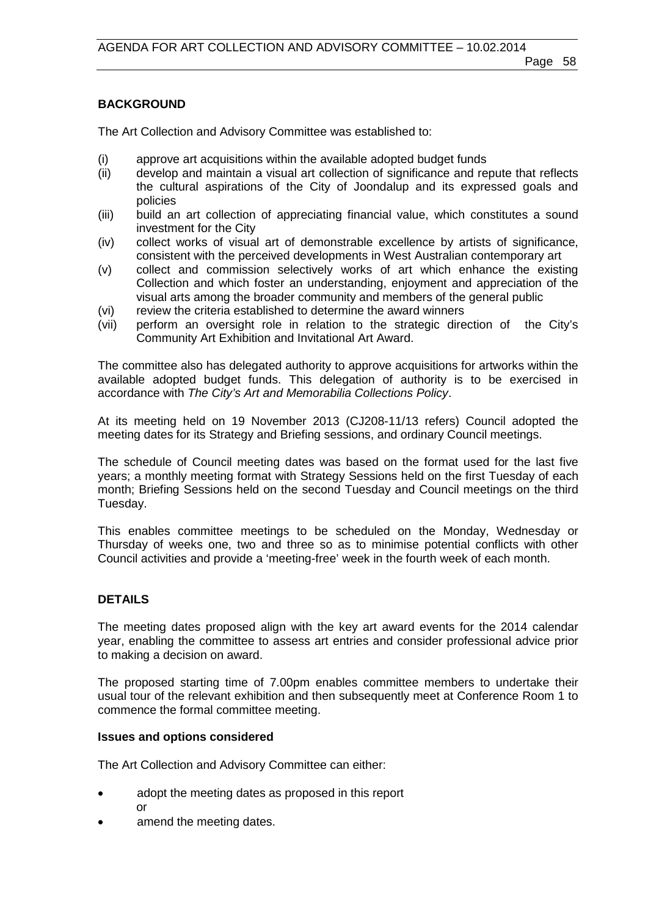## **BACKGROUND**

The Art Collection and Advisory Committee was established to:

- (i) approve art acquisitions within the available adopted budget funds
- (ii) develop and maintain a visual art collection of significance and repute that reflects the cultural aspirations of the City of Joondalup and its expressed goals and policies
- (iii) build an art collection of appreciating financial value, which constitutes a sound investment for the City
- (iv) collect works of visual art of demonstrable excellence by artists of significance, consistent with the perceived developments in West Australian contemporary art
- (v) collect and commission selectively works of art which enhance the existing Collection and which foster an understanding, enjoyment and appreciation of the visual arts among the broader community and members of the general public
- (vi) review the criteria established to determine the award winners
- (vii) perform an oversight role in relation to the strategic direction of the City's Community Art Exhibition and Invitational Art Award.

The committee also has delegated authority to approve acquisitions for artworks within the available adopted budget funds. This delegation of authority is to be exercised in accordance with *The City's Art and Memorabilia Collections Policy*.

At its meeting held on 19 November 2013 (CJ208-11/13 refers) Council adopted the meeting dates for its Strategy and Briefing sessions, and ordinary Council meetings.

The schedule of Council meeting dates was based on the format used for the last five years; a monthly meeting format with Strategy Sessions held on the first Tuesday of each month; Briefing Sessions held on the second Tuesday and Council meetings on the third Tuesday.

This enables committee meetings to be scheduled on the Monday, Wednesday or Thursday of weeks one, two and three so as to minimise potential conflicts with other Council activities and provide a 'meeting-free' week in the fourth week of each month.

## **DETAILS**

The meeting dates proposed align with the key art award events for the 2014 calendar year, enabling the committee to assess art entries and consider professional advice prior to making a decision on award.

The proposed starting time of 7.00pm enables committee members to undertake their usual tour of the relevant exhibition and then subsequently meet at Conference Room 1 to commence the formal committee meeting.

#### **Issues and options considered**

The Art Collection and Advisory Committee can either:

- adopt the meeting dates as proposed in this report or
- amend the meeting dates.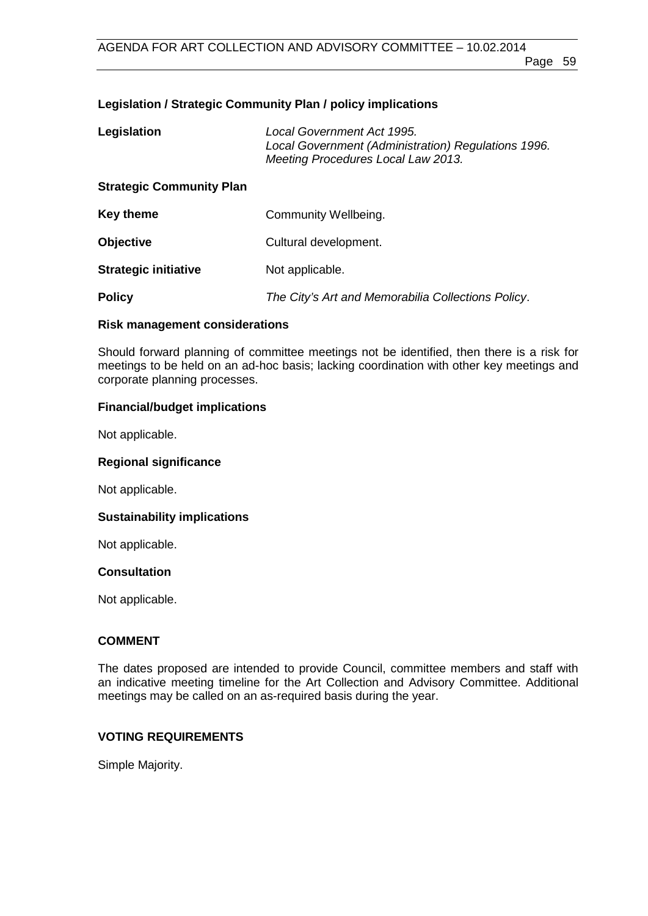## **Legislation / Strategic Community Plan / policy implications**

| Legislation                     | Local Government Act 1995.<br>Local Government (Administration) Regulations 1996.<br>Meeting Procedures Local Law 2013. |  |
|---------------------------------|-------------------------------------------------------------------------------------------------------------------------|--|
| <b>Strategic Community Plan</b> |                                                                                                                         |  |
| Key theme                       | Community Wellbeing.                                                                                                    |  |
| <b>Objective</b>                | Cultural development.                                                                                                   |  |
| <b>Strategic initiative</b>     | Not applicable.                                                                                                         |  |
| <b>Policy</b>                   | The City's Art and Memorabilia Collections Policy.                                                                      |  |

## **Risk management considerations**

Should forward planning of committee meetings not be identified, then there is a risk for meetings to be held on an ad-hoc basis; lacking coordination with other key meetings and corporate planning processes.

## **Financial/budget implications**

Not applicable.

## **Regional significance**

Not applicable.

## **Sustainability implications**

Not applicable.

## **Consultation**

Not applicable.

## **COMMENT**

The dates proposed are intended to provide Council, committee members and staff with an indicative meeting timeline for the Art Collection and Advisory Committee. Additional meetings may be called on an as-required basis during the year.

## **VOTING REQUIREMENTS**

Simple Majority.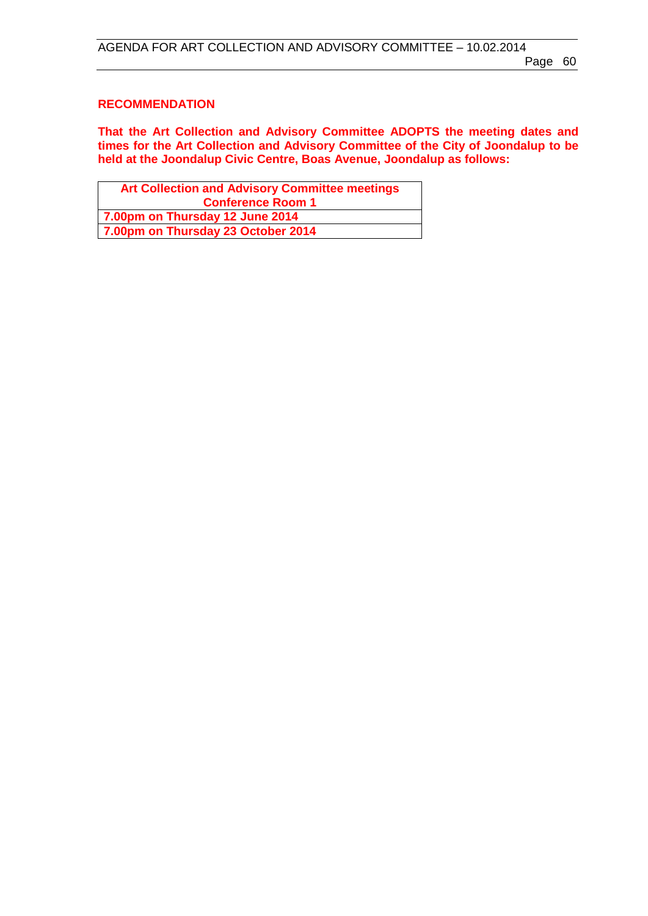### **RECOMMENDATION**

**That the Art Collection and Advisory Committee ADOPTS the meeting dates and times for the Art Collection and Advisory Committee of the City of Joondalup to be held at the Joondalup Civic Centre, Boas Avenue, Joondalup as follows:**

| <b>Art Collection and Advisory Committee meetings</b> |  |  |
|-------------------------------------------------------|--|--|
| <b>Conference Room 1</b>                              |  |  |
| 7.00pm on Thursday 12 June 2014                       |  |  |
| 7.00pm on Thursday 23 October 2014                    |  |  |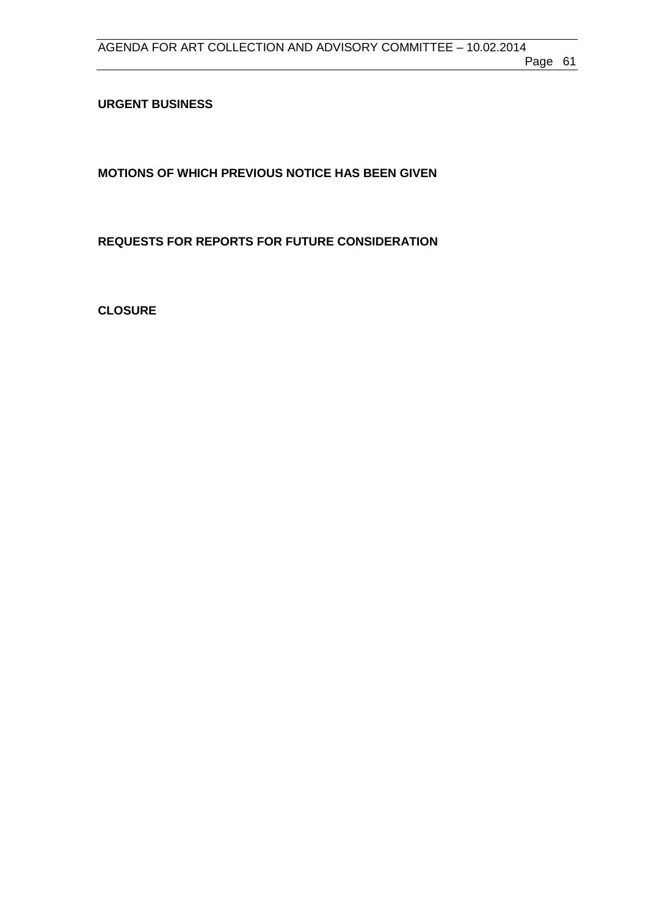<span id="page-60-0"></span>**URGENT BUSINESS**

<span id="page-60-1"></span>**MOTIONS OF WHICH PREVIOUS NOTICE HAS BEEN GIVEN**

<span id="page-60-2"></span>**REQUESTS FOR REPORTS FOR FUTURE CONSIDERATION**

<span id="page-60-3"></span>**CLOSURE**